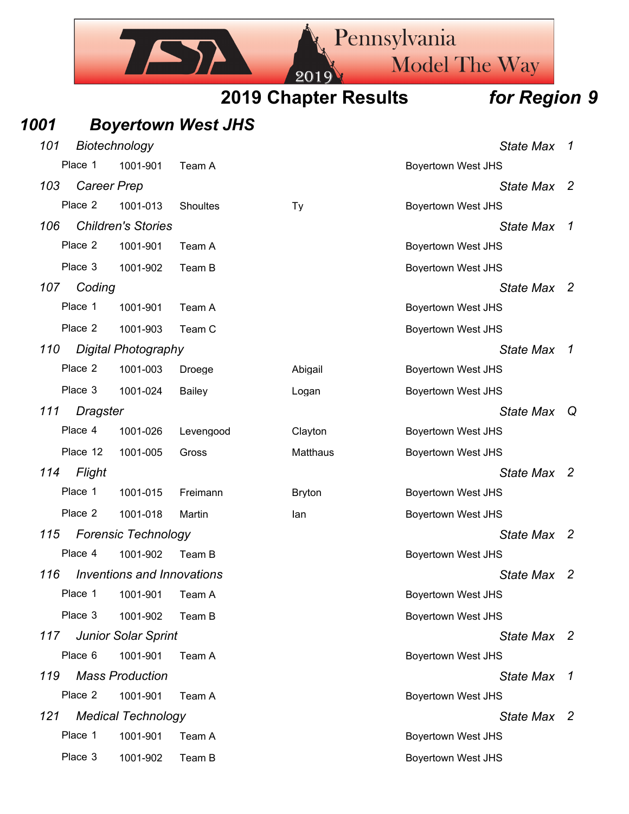

## *1001 Boyertown West JHS*

| 101 |                    | Biotechnology                     |                 |               |                           | <b>State Max</b> | 7              |
|-----|--------------------|-----------------------------------|-----------------|---------------|---------------------------|------------------|----------------|
|     | Place 1            | 1001-901                          | Team A          |               | <b>Boyertown West JHS</b> |                  |                |
| 103 | <b>Career Prep</b> |                                   |                 |               |                           | State Max        | -2             |
|     | Place 2            | 1001-013                          | <b>Shoultes</b> | <b>Ty</b>     | <b>Boyertown West JHS</b> |                  |                |
| 106 |                    | <b>Children's Stories</b>         |                 |               |                           | <b>State Max</b> | -1             |
|     | Place 2            | 1001-901                          | Team A          |               | <b>Boyertown West JHS</b> |                  |                |
|     | Place 3            | 1001-902                          | Team B          |               | <b>Boyertown West JHS</b> |                  |                |
| 107 | Coding             |                                   |                 |               |                           | State Max 2      |                |
|     | Place 1            | 1001-901                          | Team A          |               | <b>Boyertown West JHS</b> |                  |                |
|     | Place 2            | 1001-903                          | Team C          |               | <b>Boyertown West JHS</b> |                  |                |
| 110 |                    | <b>Digital Photography</b>        |                 |               |                           | <b>State Max</b> | $\mathcal{I}$  |
|     | Place 2            | 1001-003                          | Droege          | Abigail       | <b>Boyertown West JHS</b> |                  |                |
|     | Place 3            | 1001-024                          | Bailey          | Logan         | <b>Boyertown West JHS</b> |                  |                |
| 111 | <b>Dragster</b>    |                                   |                 |               |                           | <b>State Max</b> | Q              |
|     | Place 4            | 1001-026                          | Levengood       | Clayton       | <b>Boyertown West JHS</b> |                  |                |
|     | Place 12           | 1001-005                          | Gross           | Matthaus      | <b>Boyertown West JHS</b> |                  |                |
| 114 | Flight             |                                   |                 |               |                           | State Max 2      |                |
|     | Place 1            | 1001-015                          | Freimann        | <b>Bryton</b> | <b>Boyertown West JHS</b> |                  |                |
|     | Place 2            | 1001-018                          | Martin          | lan           | <b>Boyertown West JHS</b> |                  |                |
| 115 |                    | <b>Forensic Technology</b>        |                 |               |                           | <b>State Max</b> | -2             |
|     | Place 4            | 1001-902                          | Team B          |               | <b>Boyertown West JHS</b> |                  |                |
| 116 |                    | <b>Inventions and Innovations</b> |                 |               |                           | <b>State Max</b> | $\overline{2}$ |
|     |                    | Place 1 1001-901 Team A           |                 |               | <b>Boyertown West JHS</b> |                  |                |
|     | Place 3            | 1001-902                          | Team B          |               | <b>Boyertown West JHS</b> |                  |                |
| 117 |                    | <b>Junior Solar Sprint</b>        |                 |               |                           | State Max 2      |                |
|     | Place 6            | 1001-901                          | Team A          |               | <b>Boyertown West JHS</b> |                  |                |
| 119 |                    | <b>Mass Production</b>            |                 |               |                           | <b>State Max</b> | 1              |
|     | Place 2            | 1001-901                          | Team A          |               | <b>Boyertown West JHS</b> |                  |                |
| 121 |                    | <b>Medical Technology</b>         |                 |               |                           | State Max 2      |                |
|     | Place 1            | 1001-901                          | Team A          |               | <b>Boyertown West JHS</b> |                  |                |
|     | Place 3            | 1001-902                          | Team B          |               | <b>Boyertown West JHS</b> |                  |                |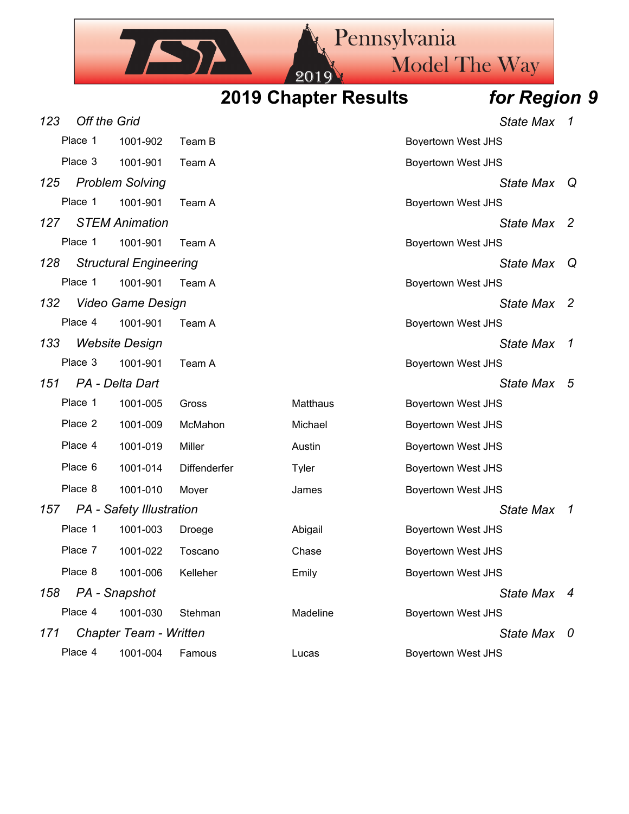

| 123 | <b>Off the Grid</b> |                               |              |                 | <b>State Max</b>          | $\mathcal I$   |
|-----|---------------------|-------------------------------|--------------|-----------------|---------------------------|----------------|
|     | Place 1             | 1001-902                      | Team B       |                 | <b>Boyertown West JHS</b> |                |
|     | Place 3             | 1001-901                      | Team A       |                 | <b>Boyertown West JHS</b> |                |
| 125 |                     | <b>Problem Solving</b>        |              |                 | <b>State Max</b>          | Q              |
|     | Place 1             | 1001-901                      | Team A       |                 | <b>Boyertown West JHS</b> |                |
| 127 |                     | <b>STEM Animation</b>         |              |                 | <b>State Max</b>          | $\overline{2}$ |
|     | Place 1             | 1001-901                      | Team A       |                 | <b>Boyertown West JHS</b> |                |
| 128 |                     | <b>Structural Engineering</b> |              |                 | <b>State Max</b>          | Q              |
|     | Place 1             | 1001-901                      | Team A       |                 | <b>Boyertown West JHS</b> |                |
| 132 |                     | Video Game Design             |              |                 | <b>State Max</b>          | $\overline{2}$ |
|     | Place 4             | 1001-901                      | Team A       |                 | <b>Boyertown West JHS</b> |                |
| 133 |                     | <b>Website Design</b>         |              |                 | <b>State Max</b>          | $\mathcal{I}$  |
|     | Place 3             | 1001-901                      | Team A       |                 | <b>Boyertown West JHS</b> |                |
| 151 |                     | PA - Delta Dart               |              |                 | <b>State Max</b>          | -5             |
|     | Place 1             | 1001-005                      | Gross        | <b>Matthaus</b> | <b>Boyertown West JHS</b> |                |
|     | Place 2             | 1001-009                      | McMahon      | Michael         | <b>Boyertown West JHS</b> |                |
|     | Place 4             | 1001-019                      | Miller       | Austin          | <b>Boyertown West JHS</b> |                |
|     | Place 6             | 1001-014                      | Diffenderfer | Tyler           | <b>Boyertown West JHS</b> |                |
|     | Place 8             | 1001-010                      | Moyer        | James           | <b>Boyertown West JHS</b> |                |
| 157 |                     | PA - Safety Illustration      |              |                 | <b>State Max</b>          | $\mathcal{I}$  |
|     | Place 1             | 1001-003                      | Droege       | Abigail         | <b>Boyertown West JHS</b> |                |
|     | Place 7             | 1001-022                      | Toscano      | Chase           | <b>Boyertown West JHS</b> |                |
|     | Place 8             | 1001-006                      | Kelleher     | Emily           | <b>Boyertown West JHS</b> |                |
| 158 |                     | PA - Snapshot                 |              |                 | <b>State Max</b>          | 4              |
|     | Place 4             | 1001-030                      | Stehman      | Madeline        | <b>Boyertown West JHS</b> |                |
| 171 |                     | <b>Chapter Team - Written</b> |              |                 | <b>State Max</b>          | -0             |
|     | Place 4             | 1001-004                      | Famous       | Lucas           | Boyertown West JHS        |                |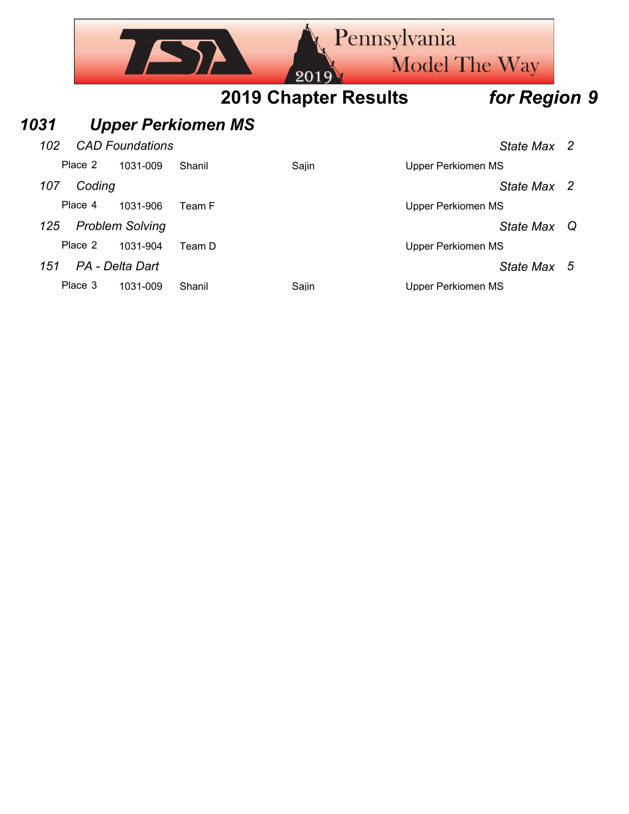|      |         |                        |                           | 2019                        | Pennsylvania<br><b>Model The Way</b> |              |   |
|------|---------|------------------------|---------------------------|-----------------------------|--------------------------------------|--------------|---|
|      |         |                        |                           | <b>2019 Chapter Results</b> |                                      | for Region 9 |   |
| 1031 |         |                        | <b>Upper Perkiomen MS</b> |                             |                                      |              |   |
| 102  |         | <b>CAD Foundations</b> |                           |                             |                                      | State Max 2  |   |
|      | Place 2 | 1031-009               | Shanil                    | Sajin                       | <b>Upper Perkiomen MS</b>            |              |   |
| 107  | Coding  |                        |                           |                             |                                      | State Max 2  |   |
|      | Place 4 | 1031-906               | Team F                    |                             | <b>Upper Perkiomen MS</b>            |              |   |
| 125  |         | <b>Problem Solving</b> |                           |                             |                                      | State Max    | Q |
|      | Place 2 | 1031-904               | Team D                    |                             | <b>Upper Perkiomen MS</b>            |              |   |
| 151  |         | PA - Delta Dart        |                           |                             |                                      | State Max 5  |   |
|      | Place 3 | 1031-009               | Shanil                    | Sajin                       | Upper Perkiomen MS                   |              |   |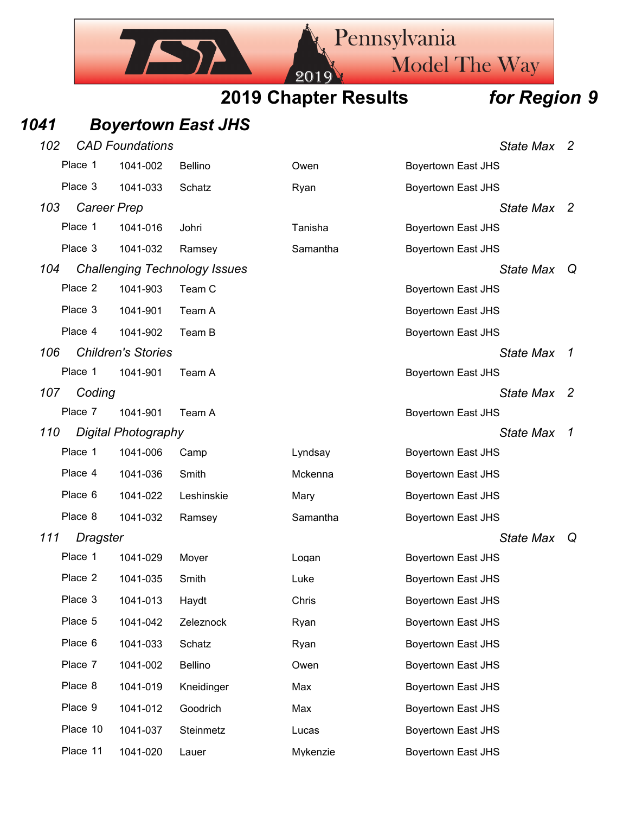Pennsylvania

Model The Way

## *1041 Boyertown East JHS*

IST

| 102 |                    | <b>CAD Foundations</b>     |                                      |          |                           | State Max 2      |     |
|-----|--------------------|----------------------------|--------------------------------------|----------|---------------------------|------------------|-----|
|     | Place 1            | 1041-002                   | Bellino                              | Owen     | <b>Boyertown East JHS</b> |                  |     |
|     | Place 3            | 1041-033                   | Schatz                               | Ryan     | <b>Boyertown East JHS</b> |                  |     |
| 103 | <b>Career Prep</b> |                            |                                      |          |                           | State Max 2      |     |
|     | Place 1            | 1041-016                   | Johri                                | Tanisha  | <b>Boyertown East JHS</b> |                  |     |
|     | Place 3            | 1041-032                   | Ramsey                               | Samantha | <b>Boyertown East JHS</b> |                  |     |
| 104 |                    |                            | <b>Challenging Technology Issues</b> |          |                           | <b>State Max</b> | Q   |
|     | Place 2            | 1041-903                   | Team C                               |          | <b>Boyertown East JHS</b> |                  |     |
|     | Place 3            | 1041-901                   | Team A                               |          | <b>Boyertown East JHS</b> |                  |     |
|     | Place 4            | 1041-902                   | Team B                               |          | <b>Boyertown East JHS</b> |                  |     |
| 106 |                    | <b>Children's Stories</b>  |                                      |          |                           | <b>State Max</b> | 1   |
|     | Place 1            | 1041-901                   | Team A                               |          | <b>Boyertown East JHS</b> |                  |     |
| 107 | Coding             |                            |                                      |          |                           | <b>State Max</b> | - 2 |
|     | Place 7            | 1041-901                   | Team A                               |          | <b>Boyertown East JHS</b> |                  |     |
| 110 |                    | <b>Digital Photography</b> |                                      |          |                           | <b>State Max</b> | 1   |
|     | Place 1            | 1041-006                   | Camp                                 | Lyndsay  | <b>Boyertown East JHS</b> |                  |     |
|     | Place 4            | 1041-036                   | Smith                                | Mckenna  | <b>Boyertown East JHS</b> |                  |     |
|     | Place 6            | 1041-022                   | Leshinskie                           | Mary     | <b>Boyertown East JHS</b> |                  |     |
|     | Place 8            | 1041-032                   | Ramsey                               | Samantha | <b>Boyertown East JHS</b> |                  |     |
| 111 | Dragster           |                            |                                      |          |                           | <b>State Max</b> | Q   |
|     | Place 1            | 1041-029                   | Moyer                                | Logan    | <b>Boyertown East JHS</b> |                  |     |
|     | Place 2            | 1041-035                   | Smith                                | Luke     | <b>Boyertown East JHS</b> |                  |     |
|     | Place 3            | 1041-013                   | Haydt                                | Chris    | Boyertown East JHS        |                  |     |
|     | Place 5            | 1041-042                   | Zeleznock                            | Ryan     | <b>Boyertown East JHS</b> |                  |     |
|     | Place 6            | 1041-033                   | Schatz                               | Ryan     | <b>Boyertown East JHS</b> |                  |     |
|     | Place 7            | 1041-002                   | Bellino                              | Owen     | <b>Boyertown East JHS</b> |                  |     |
|     | Place 8            | 1041-019                   | Kneidinger                           | Max      | <b>Boyertown East JHS</b> |                  |     |
|     | Place 9            | 1041-012                   | Goodrich                             | Max      | <b>Boyertown East JHS</b> |                  |     |
|     | Place 10           | 1041-037                   | Steinmetz                            | Lucas    | <b>Boyertown East JHS</b> |                  |     |
|     | Place 11           | 1041-020                   | Lauer                                | Mykenzie | <b>Boyertown East JHS</b> |                  |     |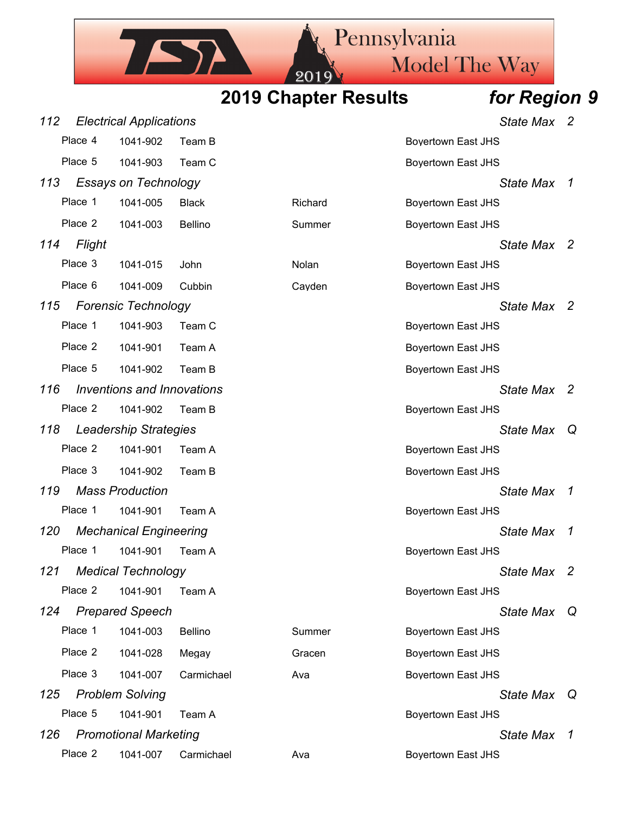# Model The Way

Pennsylvania

# **2019 Chapter Results** *for Region 9*

201

ISA

| 112 |         | <b>Electrical Applications</b>    |              |         | <b>State Max</b>          | -2            |
|-----|---------|-----------------------------------|--------------|---------|---------------------------|---------------|
|     | Place 4 | 1041-902                          | Team B       |         | <b>Boyertown East JHS</b> |               |
|     | Place 5 | 1041-903                          | Team C       |         | <b>Boyertown East JHS</b> |               |
| 113 |         | <b>Essays on Technology</b>       |              |         | <b>State Max</b>          | 1             |
|     | Place 1 | 1041-005                          | <b>Black</b> | Richard | <b>Boyertown East JHS</b> |               |
|     | Place 2 | 1041-003                          | Bellino      | Summer  | <b>Boyertown East JHS</b> |               |
| 114 | Flight  |                                   |              |         | State Max 2               |               |
|     | Place 3 | 1041-015                          | John         | Nolan   | <b>Boyertown East JHS</b> |               |
|     | Place 6 | 1041-009                          | Cubbin       | Cayden  | <b>Boyertown East JHS</b> |               |
| 115 |         | <b>Forensic Technology</b>        |              |         | State Max 2               |               |
|     | Place 1 | 1041-903                          | Team C       |         | <b>Boyertown East JHS</b> |               |
|     | Place 2 | 1041-901                          | Team A       |         | <b>Boyertown East JHS</b> |               |
|     | Place 5 | 1041-902                          | Team B       |         | <b>Boyertown East JHS</b> |               |
| 116 |         | <b>Inventions and Innovations</b> |              |         | <b>State Max</b>          | - 2           |
|     | Place 2 | 1041-902                          | Team B       |         | <b>Boyertown East JHS</b> |               |
| 118 |         | <b>Leadership Strategies</b>      |              |         | <b>State Max</b>          | Q             |
|     | Place 2 | 1041-901                          | Team A       |         | <b>Boyertown East JHS</b> |               |
|     | Place 3 | 1041-902                          | Team B       |         | Boyertown East JHS        |               |
| 119 |         | <b>Mass Production</b>            |              |         | <b>State Max</b>          | 1             |
|     | Place 1 | 1041-901                          | Team A       |         | <b>Boyertown East JHS</b> |               |
| 120 |         | <b>Mechanical Engineering</b>     |              |         | <b>State Max</b>          | $\mathcal I$  |
|     | Place 1 | 1041-901                          | Team A       |         | <b>Boyertown East JHS</b> |               |
| 121 |         | <b>Medical Technology</b>         |              |         | State Max 2               |               |
|     | Place 2 | 1041-901                          | Team A       |         | <b>Boyertown East JHS</b> |               |
| 124 |         | <b>Prepared Speech</b>            |              |         | <b>State Max</b>          | ା Q           |
|     | Place 1 | 1041-003                          | Bellino      | Summer  | <b>Boyertown East JHS</b> |               |
|     | Place 2 | 1041-028                          | Megay        | Gracen  | <b>Boyertown East JHS</b> |               |
|     | Place 3 | 1041-007                          | Carmichael   | Ava     | <b>Boyertown East JHS</b> |               |
| 125 |         | <b>Problem Solving</b>            |              |         | <b>State Max</b>          | Q             |
|     | Place 5 | 1041-901                          | Team A       |         | <b>Boyertown East JHS</b> |               |
| 126 |         | <b>Promotional Marketing</b>      |              |         | State Max                 | $\mathcal{I}$ |
|     | Place 2 | 1041-007                          | Carmichael   | Ava     | <b>Boyertown East JHS</b> |               |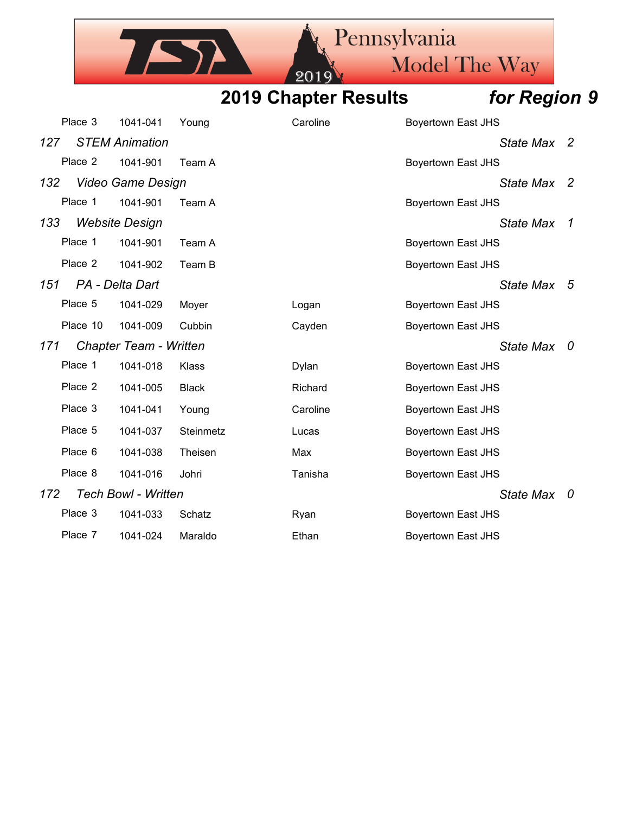Pennsylvania IST Model The Way 20

**2019 Chapter Results** *for Region 9*

|     | Place 3  | 1041-041                   | Young        | Caroline | <b>Boyertown East JHS</b> |   |
|-----|----------|----------------------------|--------------|----------|---------------------------|---|
| 127 |          | <b>STEM Animation</b>      |              |          | State Max 2               |   |
|     | Place 2  | 1041-901                   | Team A       |          | <b>Boyertown East JHS</b> |   |
| 132 |          | Video Game Design          |              |          | State Max 2               |   |
|     | Place 1  | 1041-901                   | Team A       |          | <b>Boyertown East JHS</b> |   |
| 133 |          | <b>Website Design</b>      |              |          | <b>State Max</b>          | 1 |
|     | Place 1  | 1041-901                   | Team A       |          | <b>Boyertown East JHS</b> |   |
|     | Place 2  | 1041-902                   | Team B       |          | <b>Boyertown East JHS</b> |   |
| 151 |          | PA - Delta Dart            |              |          | State Max 5               |   |
|     | Place 5  | 1041-029                   | Moyer        | Logan    | <b>Boyertown East JHS</b> |   |
|     | Place 10 | 1041-009                   | Cubbin       | Cayden   | <b>Boyertown East JHS</b> |   |
| 171 |          | Chapter Team - Written     |              |          | State Max 0               |   |
|     | Place 1  | 1041-018                   | Klass        | Dylan    | <b>Boyertown East JHS</b> |   |
|     | Place 2  | 1041-005                   | <b>Black</b> | Richard  | <b>Boyertown East JHS</b> |   |
|     | Place 3  | 1041-041                   | Young        | Caroline | <b>Boyertown East JHS</b> |   |
|     | Place 5  | 1041-037                   | Steinmetz    | Lucas    | <b>Boyertown East JHS</b> |   |
|     | Place 6  | 1041-038                   | Theisen      | Max      | <b>Boyertown East JHS</b> |   |
|     | Place 8  | 1041-016                   | Johri        | Tanisha  | <b>Boyertown East JHS</b> |   |
| 172 |          | <b>Tech Bowl - Written</b> |              |          | State Max 0               |   |
|     | Place 3  | 1041-033                   | Schatz       | Ryan     | <b>Boyertown East JHS</b> |   |
|     | Place 7  | 1041-024                   | Maraldo      | Ethan    | <b>Boyertown East JHS</b> |   |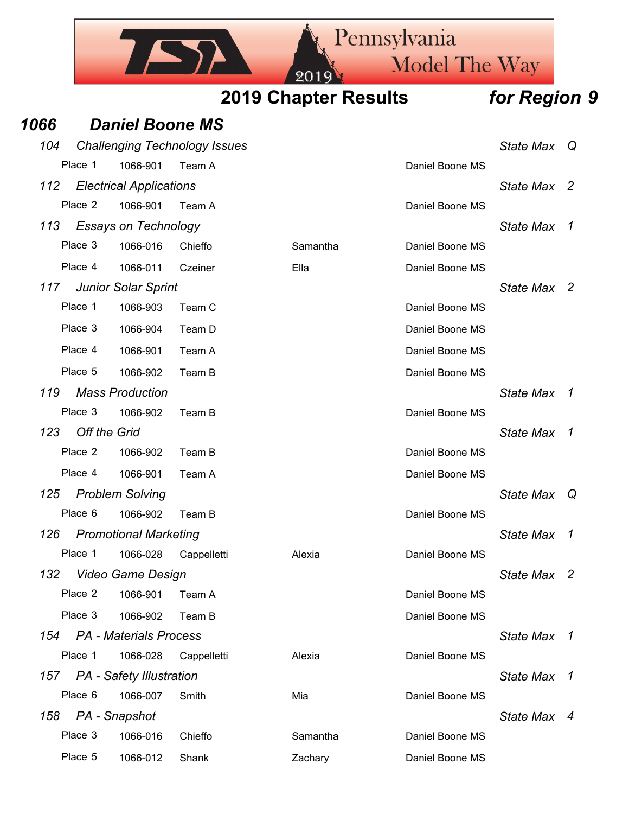Pennsylvania ISA Model The Way 20 **2019 Chapter Results** *for Region 9*

## *1066 Daniel Boone MS*

| 104 |                     |                                 | <b>Challenging Technology Issues</b> |          |                 | <b>State Max</b> | Q                   |
|-----|---------------------|---------------------------------|--------------------------------------|----------|-----------------|------------------|---------------------|
|     | Place 1             | 1066-901                        | Team A                               |          | Daniel Boone MS |                  |                     |
| 112 |                     | <b>Electrical Applications</b>  |                                      |          |                 | <b>State Max</b> | <sup>2</sup>        |
|     | Place 2             | 1066-901                        | Team A                               |          | Daniel Boone MS |                  |                     |
| 113 |                     | <b>Essays on Technology</b>     |                                      |          |                 | <b>State Max</b> | 1                   |
|     | Place 3             | 1066-016                        | Chieffo                              | Samantha | Daniel Boone MS |                  |                     |
|     | Place 4             | 1066-011                        | Czeiner                              | Ella     | Daniel Boone MS |                  |                     |
| 117 |                     | <b>Junior Solar Sprint</b>      |                                      |          |                 | State Max 2      |                     |
|     | Place 1             | 1066-903                        | Team C                               |          | Daniel Boone MS |                  |                     |
|     | Place 3             | 1066-904                        | Team D                               |          | Daniel Boone MS |                  |                     |
|     | Place 4             | 1066-901                        | Team A                               |          | Daniel Boone MS |                  |                     |
|     | Place 5             | 1066-902                        | Team B                               |          | Daniel Boone MS |                  |                     |
| 119 |                     | <b>Mass Production</b>          |                                      |          |                 | <b>State Max</b> | 1                   |
|     | Place 3             | 1066-902                        | Team B                               |          | Daniel Boone MS |                  |                     |
| 123 | <b>Off the Grid</b> |                                 |                                      |          |                 | <b>State Max</b> | $\mathcal{I}$       |
|     | Place 2             | 1066-902                        | Team B                               |          | Daniel Boone MS |                  |                     |
|     | Place 4             | 1066-901                        | Team A                               |          | Daniel Boone MS |                  |                     |
| 125 |                     | <b>Problem Solving</b>          |                                      |          |                 | <b>State Max</b> | Q                   |
|     | Place 6             | 1066-902                        | Team B                               |          | Daniel Boone MS |                  |                     |
| 126 |                     | <b>Promotional Marketing</b>    |                                      |          |                 | <b>State Max</b> | $\boldsymbol{\tau}$ |
|     | Place 1             | 1066-028                        | Cappelletti                          | Alexia   | Daniel Boone MS |                  |                     |
| 132 |                     | <b>Video Game Design</b>        |                                      |          |                 | <b>State Max</b> | 2                   |
|     | Place 2             | 1066-901                        | Team A                               |          | Daniel Boone MS |                  |                     |
|     | Place 3             | 1066-902                        | Team B                               |          | Daniel Boone MS |                  |                     |
| 154 |                     | <b>PA</b> - Materials Process   |                                      |          |                 | <b>State Max</b> | $\overline{1}$      |
|     | Place 1             | 1066-028                        | Cappelletti                          | Alexia   | Daniel Boone MS |                  |                     |
| 157 |                     | <b>PA</b> - Safety Illustration |                                      |          |                 | <b>State Max</b> | 1                   |
|     | Place 6             | 1066-007                        | Smith                                | Mia      | Daniel Boone MS |                  |                     |
| 158 |                     | PA - Snapshot                   |                                      |          |                 | State Max 4      |                     |
|     | Place 3             | 1066-016                        | Chieffo                              | Samantha | Daniel Boone MS |                  |                     |
|     | Place 5             | 1066-012                        | Shank                                | Zachary  | Daniel Boone MS |                  |                     |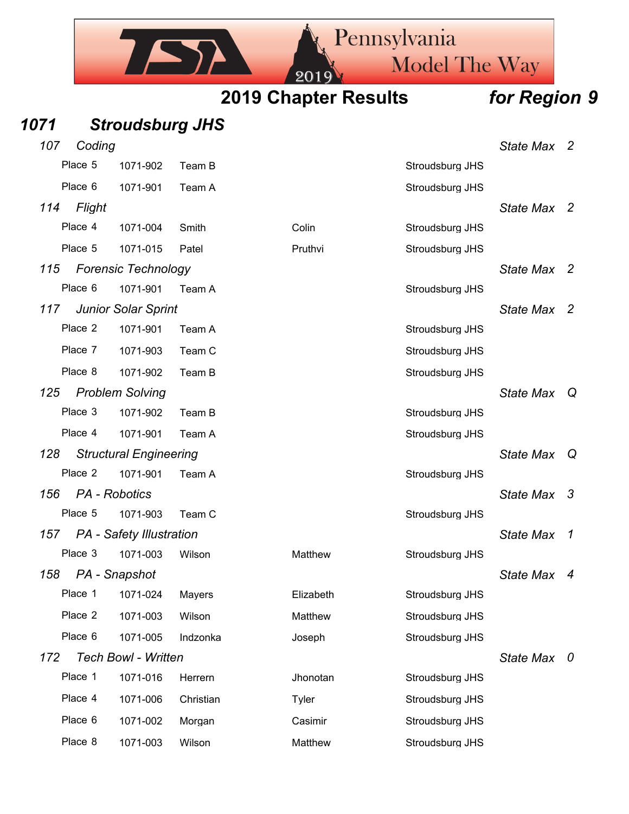Model The Way 20

Pennsylvania

**2019 Chapter Results** *for Region 9*

## *1071 Stroudsburg JHS*

ISA

| 107<br>Coding |                                 |           |           |                 | <b>State Max</b> | $\overline{\phantom{a}}$ |
|---------------|---------------------------------|-----------|-----------|-----------------|------------------|--------------------------|
| Place 5       | 1071-902                        | Team B    |           | Stroudsburg JHS |                  |                          |
| Place 6       | 1071-901                        | Team A    |           | Stroudsburg JHS |                  |                          |
| Flight<br>114 |                                 |           |           |                 | State Max 2      |                          |
| Place 4       | 1071-004                        | Smith     | Colin     | Stroudsburg JHS |                  |                          |
| Place 5       | 1071-015                        | Patel     | Pruthvi   | Stroudsburg JHS |                  |                          |
| 115           | <b>Forensic Technology</b>      |           |           |                 | <b>State Max</b> | $\overline{2}$           |
| Place 6       | 1071-901                        | Team A    |           | Stroudsburg JHS |                  |                          |
| 117           | <b>Junior Solar Sprint</b>      |           |           |                 | <b>State Max</b> | $\overline{\phantom{a}}$ |
| Place 2       | 1071-901                        | Team A    |           | Stroudsburg JHS |                  |                          |
| Place 7       | 1071-903                        | Team C    |           | Stroudsburg JHS |                  |                          |
| Place 8       | 1071-902                        | Team B    |           | Stroudsburg JHS |                  |                          |
| 125           | <b>Problem Solving</b>          |           |           |                 | <b>State Max</b> | Q                        |
| Place 3       | 1071-902                        | Team B    |           | Stroudsburg JHS |                  |                          |
| Place 4       | 1071-901                        | Team A    |           | Stroudsburg JHS |                  |                          |
| 128           | <b>Structural Engineering</b>   |           |           |                 | <b>State Max</b> | Q                        |
| Place 2       | 1071-901                        | Team A    |           | Stroudsburg JHS |                  |                          |
| 156           | PA - Robotics                   |           |           |                 | <b>State Max</b> | $\mathbf{3}$             |
| Place 5       | 1071-903                        | Team C    |           | Stroudsburg JHS |                  |                          |
| 157           | <b>PA</b> - Safety Illustration |           |           |                 | <b>State Max</b> | $\overline{1}$           |
| Place 3       | 1071-003                        | Wilson    | Matthew   | Stroudsburg JHS |                  |                          |
| 158           | PA - Snapshot                   |           |           |                 | <b>State Max</b> | 4                        |
| Place 1       | 1071-024                        | Mayers    | Elizabeth | Stroudsburg JHS |                  |                          |
| Place 2       | 1071-003                        | Wilson    | Matthew   | Stroudsburg JHS |                  |                          |
| Place 6       | 1071-005                        | Indzonka  | Joseph    | Stroudsburg JHS |                  |                          |
| 172           | <b>Tech Bowl - Written</b>      |           |           |                 | State Max 0      |                          |
| Place 1       | 1071-016                        | Herrern   | Jhonotan  | Stroudsburg JHS |                  |                          |
| Place 4       | 1071-006                        | Christian | Tyler     | Stroudsburg JHS |                  |                          |
| Place 6       | 1071-002                        | Morgan    | Casimir   | Stroudsburg JHS |                  |                          |
| Place 8       | 1071-003                        | Wilson    | Matthew   | Stroudsburg JHS |                  |                          |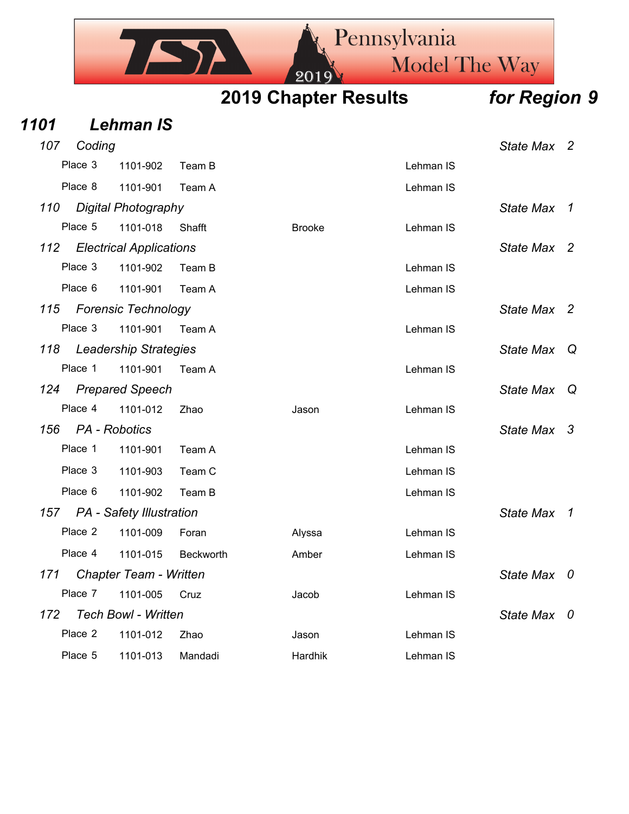

| 1101 |               | <b>Lehman IS</b>                |           |               |           |                  |                |
|------|---------------|---------------------------------|-----------|---------------|-----------|------------------|----------------|
| 107  | Coding        |                                 |           |               |           | State Max 2      |                |
|      | Place 3       | 1101-902                        | Team B    |               | Lehman IS |                  |                |
|      | Place 8       | 1101-901                        | Team A    |               | Lehman IS |                  |                |
| 110  |               | <b>Digital Photography</b>      |           |               |           | <b>State Max</b> | $\overline{1}$ |
|      | Place 5       | 1101-018                        | Shafft    | <b>Brooke</b> | Lehman IS |                  |                |
| 112  |               | <b>Electrical Applications</b>  |           |               |           | State Max 2      |                |
|      | Place 3       | 1101-902                        | Team B    |               | Lehman IS |                  |                |
|      | Place 6       | 1101-901                        | Team A    |               | Lehman IS |                  |                |
| 115  |               | <b>Forensic Technology</b>      |           |               |           | State Max 2      |                |
|      | Place 3       | 1101-901                        | Team A    |               | Lehman IS |                  |                |
| 118  |               | <b>Leadership Strategies</b>    |           |               |           | State Max Q      |                |
|      | Place 1       | 1101-901                        | Team A    |               | Lehman IS |                  |                |
| 124  |               | <b>Prepared Speech</b>          |           |               |           | State Max        | - Q            |
|      | Place 4       | 1101-012                        | Zhao      | Jason         | Lehman IS |                  |                |
| 156  | PA - Robotics |                                 |           |               |           | State Max 3      |                |
|      | Place 1       | 1101-901                        | Team A    |               | Lehman IS |                  |                |
|      | Place 3       | 1101-903                        | Team C    |               | Lehman IS |                  |                |
|      | Place 6       | 1101-902                        | Team B    |               | Lehman IS |                  |                |
| 157  |               | <b>PA</b> - Safety Illustration |           |               |           | State Max 1      |                |
|      | Place 2       | 1101-009                        | Foran     | Alyssa        | Lehman IS |                  |                |
|      | Place 4       | 1101-015                        | Beckworth | Amber         | Lehman IS |                  |                |
| 171  |               | Chapter Team - Written          |           |               |           | <b>State Max</b> | 0              |
|      | Place 7       | 1101-005                        | Cruz      | Jacob         | Lehman IS |                  |                |
| 172  |               | <b>Tech Bowl - Written</b>      |           |               |           | State Max 0      |                |
|      | Place 2       | 1101-012                        | Zhao      | Jason         | Lehman IS |                  |                |
|      | Place 5       | 1101-013                        | Mandadi   | Hardhik       | Lehman IS |                  |                |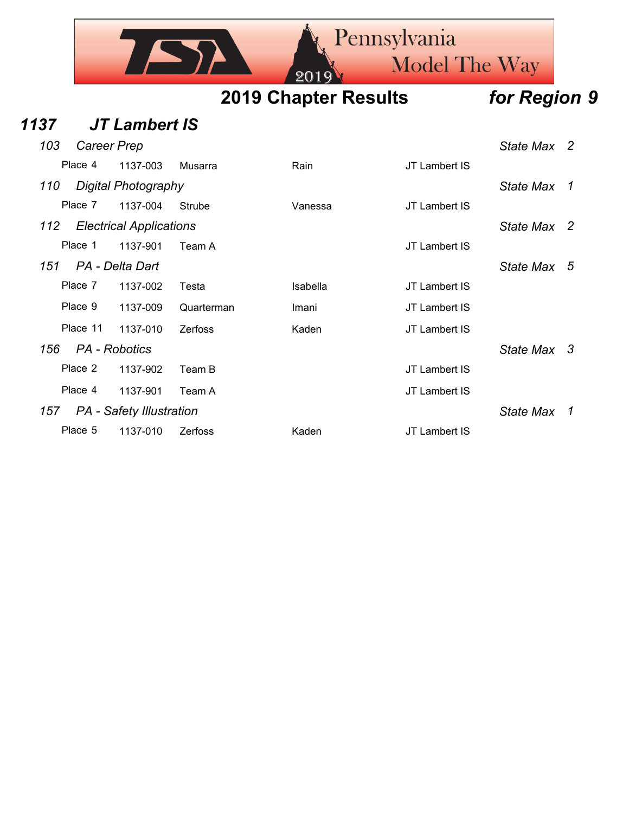|     | <b>Rennsylvania</b><br>Model The Way<br>2019 |  |                             |  |              |  |  |  |
|-----|----------------------------------------------|--|-----------------------------|--|--------------|--|--|--|
|     |                                              |  | <b>2019 Chapter Results</b> |  | for Region 9 |  |  |  |
| 37  | <b>JT Lambert IS</b>                         |  |                             |  |              |  |  |  |
| 103 | Career Prep                                  |  |                             |  | State Max 2  |  |  |  |

| Place 4  | 1137-003                        | Musarra        | Rain     | JT Lambert IS |                  |                |
|----------|---------------------------------|----------------|----------|---------------|------------------|----------------|
| 110      | Digital Photography             |                |          |               | <b>State Max</b> | $\overline{1}$ |
| Place 7  | 1137-004                        | Strube         | Vanessa  | JT Lambert IS |                  |                |
| 112      | <b>Electrical Applications</b>  |                |          |               | State Max 2      |                |
| Place 1  | 1137-901                        | Team A         |          | JT Lambert IS |                  |                |
| 151      | PA - Delta Dart                 |                |          |               | State Max        | -5             |
| Place 7  | 1137-002                        | Testa          | Isabella | JT Lambert IS |                  |                |
| Place 9  | 1137-009                        | Quarterman     | Imani    | JT Lambert IS |                  |                |
| Place 11 | 1137-010                        | <b>Zerfoss</b> | Kaden    | JT Lambert IS |                  |                |
| 156      | PA - Robotics                   |                |          |               | State Max 3      |                |
| Place 2  | 1137-902                        | Team B         |          | JT Lambert IS |                  |                |
| Place 4  | 1137-901                        | Team A         |          | JT Lambert IS |                  |                |
| 157      | <b>PA</b> - Safety Illustration |                |          |               | State Max        | 1              |
| Place 5  | 1137-010                        | <b>Zerfoss</b> | Kaden    | JT Lambert IS |                  |                |

**1137**<br><sup>103</sup>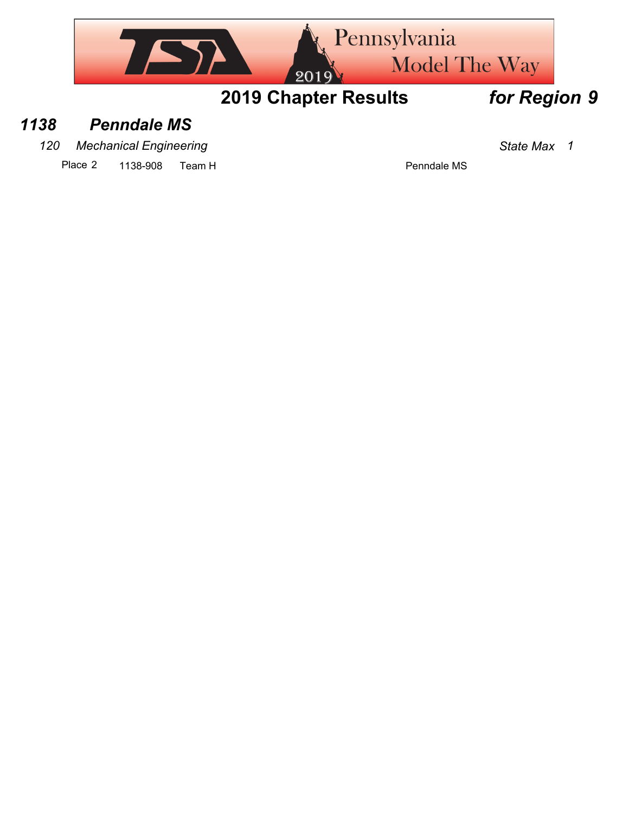

## *1138 Penndale MS*

*120 Mechanical Engineering State Max 1*

Place 2 1138-908 Team H Place 2 1138-908 Team H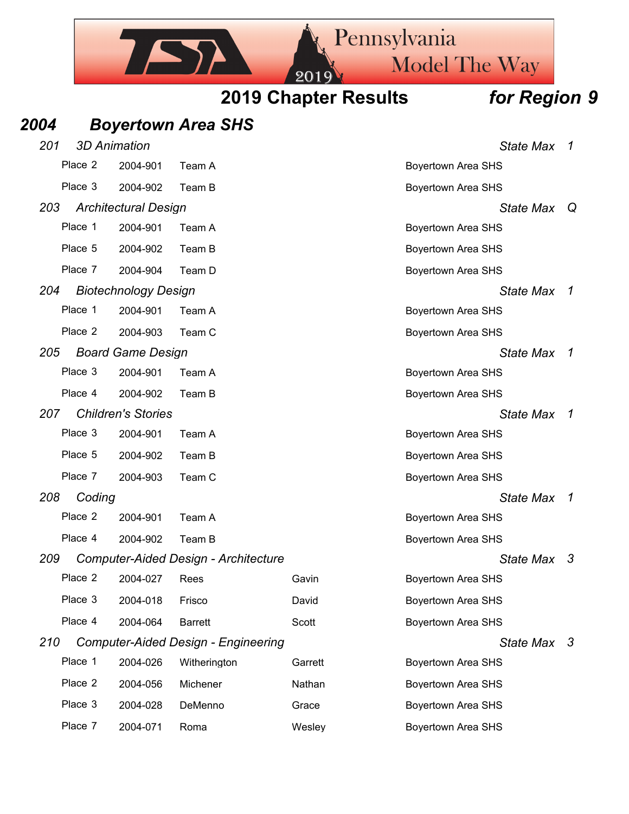

## *2004 Boyertown Area SHS*

| 201 |         | <b>3D Animation</b>         |                                             |         | <b>State Max</b>          | 1             |
|-----|---------|-----------------------------|---------------------------------------------|---------|---------------------------|---------------|
|     | Place 2 | 2004-901                    | Team A                                      |         | <b>Boyertown Area SHS</b> |               |
|     | Place 3 | 2004-902                    | Team B                                      |         | <b>Boyertown Area SHS</b> |               |
| 203 |         | <b>Architectural Design</b> |                                             |         | <b>State Max</b>          | Q             |
|     | Place 1 | 2004-901                    | Team A                                      |         | <b>Boyertown Area SHS</b> |               |
|     | Place 5 | 2004-902                    | Team B                                      |         | <b>Boyertown Area SHS</b> |               |
|     | Place 7 | 2004-904                    | Team D                                      |         | <b>Boyertown Area SHS</b> |               |
| 204 |         | <b>Biotechnology Design</b> |                                             |         | <b>State Max</b>          | 1             |
|     | Place 1 | 2004-901                    | Team A                                      |         | <b>Boyertown Area SHS</b> |               |
|     | Place 2 | 2004-903                    | Team C                                      |         | <b>Boyertown Area SHS</b> |               |
| 205 |         | <b>Board Game Design</b>    |                                             |         | <b>State Max</b>          | 1             |
|     | Place 3 | 2004-901                    | Team A                                      |         | <b>Boyertown Area SHS</b> |               |
|     | Place 4 | 2004-902                    | Team B                                      |         | <b>Boyertown Area SHS</b> |               |
| 207 |         | <b>Children's Stories</b>   |                                             |         | <b>State Max</b>          | $\mathcal{I}$ |
|     | Place 3 | 2004-901                    | Team A                                      |         | <b>Boyertown Area SHS</b> |               |
|     | Place 5 | 2004-902                    | Team B                                      |         | <b>Boyertown Area SHS</b> |               |
|     | Place 7 | 2004-903                    | Team C                                      |         | <b>Boyertown Area SHS</b> |               |
| 208 | Coding  |                             |                                             |         | <b>State Max</b>          | 1             |
|     | Place 2 | 2004-901                    | Team A                                      |         | <b>Boyertown Area SHS</b> |               |
|     | Place 4 | 2004-902                    | Team B                                      |         | <b>Boyertown Area SHS</b> |               |
| 209 |         |                             | <b>Computer-Aided Design - Architecture</b> |         | State Max 3               |               |
|     | Place 2 | 2004-027                    | Rees                                        | Gavin   | <b>Boyertown Area SHS</b> |               |
|     | Place 3 | 2004-018                    | Frisco                                      | David   | Boyertown Area SHS        |               |
|     | Place 4 | 2004-064                    | <b>Barrett</b>                              | Scott   | Boyertown Area SHS        |               |
| 210 |         |                             | <b>Computer-Aided Design - Engineering</b>  |         | State Max 3               |               |
|     | Place 1 | 2004-026                    | Witherington                                | Garrett | <b>Boyertown Area SHS</b> |               |
|     | Place 2 | 2004-056                    | Michener                                    | Nathan  | <b>Boyertown Area SHS</b> |               |
|     | Place 3 | 2004-028                    | DeMenno                                     | Grace   | <b>Boyertown Area SHS</b> |               |
|     | Place 7 | 2004-071                    | Roma                                        | Wesley  | Boyertown Area SHS        |               |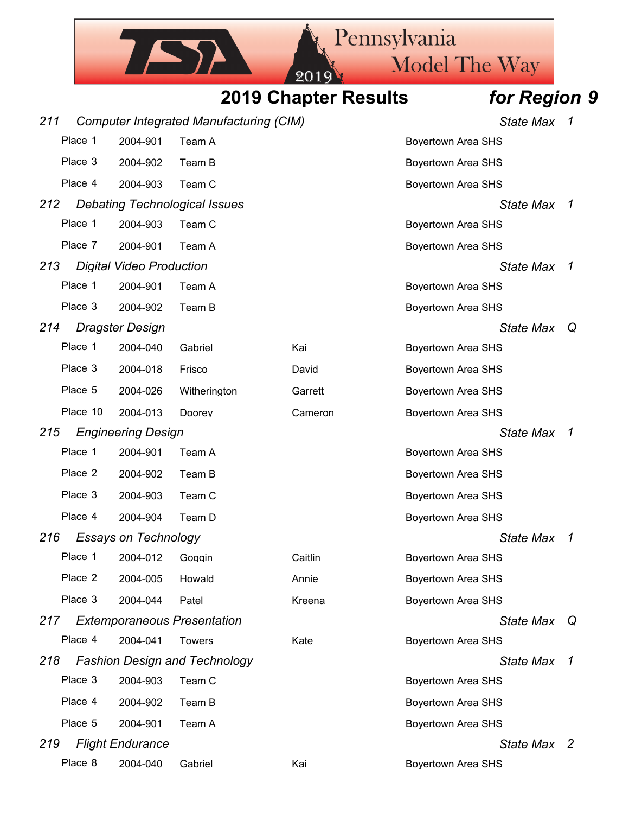|     |          |                                 |                                                |                             | Pennsylvania              |                  |                |
|-----|----------|---------------------------------|------------------------------------------------|-----------------------------|---------------------------|------------------|----------------|
|     |          |                                 |                                                | 201                         | <b>Model The Way</b>      |                  |                |
|     |          |                                 |                                                | <b>2019 Chapter Results</b> |                           | for Region 9     |                |
| 211 |          |                                 | <b>Computer Integrated Manufacturing (CIM)</b> |                             |                           | State Max 1      |                |
|     | Place 1  | 2004-901                        | Team A                                         |                             | <b>Boyertown Area SHS</b> |                  |                |
|     | Place 3  | 2004-902                        | Team B                                         |                             | <b>Boyertown Area SHS</b> |                  |                |
|     | Place 4  | 2004-903                        | Team C                                         |                             | <b>Boyertown Area SHS</b> |                  |                |
| 212 |          |                                 | <b>Debating Technological Issues</b>           |                             |                           | State Max        | - 7            |
|     | Place 1  | 2004-903                        | Team C                                         |                             | <b>Boyertown Area SHS</b> |                  |                |
|     | Place 7  | 2004-901                        | Team A                                         |                             | <b>Boyertown Area SHS</b> |                  |                |
| 213 |          | <b>Digital Video Production</b> |                                                |                             |                           | <b>State Max</b> | -1             |
|     | Place 1  | 2004-901                        | Team A                                         |                             | <b>Boyertown Area SHS</b> |                  |                |
|     | Place 3  | 2004-902                        | Team B                                         |                             | <b>Boyertown Area SHS</b> |                  |                |
| 214 |          | <b>Dragster Design</b>          |                                                |                             |                           | State Max        | Q              |
|     | Place 1  | 2004-040                        | Gabriel                                        | Kai                         | <b>Boyertown Area SHS</b> |                  |                |
|     | Place 3  | 2004-018                        | Frisco                                         | David                       | <b>Boyertown Area SHS</b> |                  |                |
|     | Place 5  | 2004-026                        | Witherington                                   | Garrett                     | <b>Boyertown Area SHS</b> |                  |                |
|     | Place 10 | 2004-013                        | Doorey                                         | Cameron                     | <b>Boyertown Area SHS</b> |                  |                |
| 215 |          | <b>Engineering Design</b>       |                                                |                             |                           | <b>State Max</b> | $\overline{1}$ |
|     | Place 1  | 2004-901                        | Team A                                         |                             | <b>Boyertown Area SHS</b> |                  |                |
|     | Place 2  | 2004-902                        | Team B                                         |                             | <b>Boyertown Area SHS</b> |                  |                |
|     | Place 3  | 2004-903                        | Team C                                         |                             | <b>Boyertown Area SHS</b> |                  |                |
|     | Place 4  | 2004-904                        | Team D                                         |                             | <b>Boyertown Area SHS</b> |                  |                |
| 216 |          | <b>Essays on Technology</b>     |                                                |                             |                           | State Max 1      |                |
|     | Place 1  | 2004-012                        | Goggin                                         | Caitlin                     | <b>Boyertown Area SHS</b> |                  |                |
|     | Place 2  | 2004-005                        | Howald                                         | Annie                       | <b>Boyertown Area SHS</b> |                  |                |
|     | Place 3  | 2004-044                        | Patel                                          | Kreena                      | <b>Boyertown Area SHS</b> |                  |                |
| 217 |          |                                 | <b>Extemporaneous Presentation</b>             |                             |                           | State Max        | Q              |
|     | Place 4  | 2004-041                        | <b>Towers</b>                                  | Kate                        | <b>Boyertown Area SHS</b> |                  |                |
| 218 |          |                                 | <b>Fashion Design and Technology</b>           |                             |                           | State Max 1      |                |
|     | Place 3  | 2004-903                        | Team C                                         |                             | <b>Boyertown Area SHS</b> |                  |                |
|     | Place 4  | 2004-902                        | Team B                                         |                             | <b>Boyertown Area SHS</b> |                  |                |
|     | Place 5  | 2004-901                        | Team A                                         |                             | <b>Boyertown Area SHS</b> |                  |                |
| 219 |          | <b>Flight Endurance</b>         |                                                |                             |                           | State Max 2      |                |
|     | Place 8  | 2004-040                        | Gabriel                                        | Kai                         | Boyertown Area SHS        |                  |                |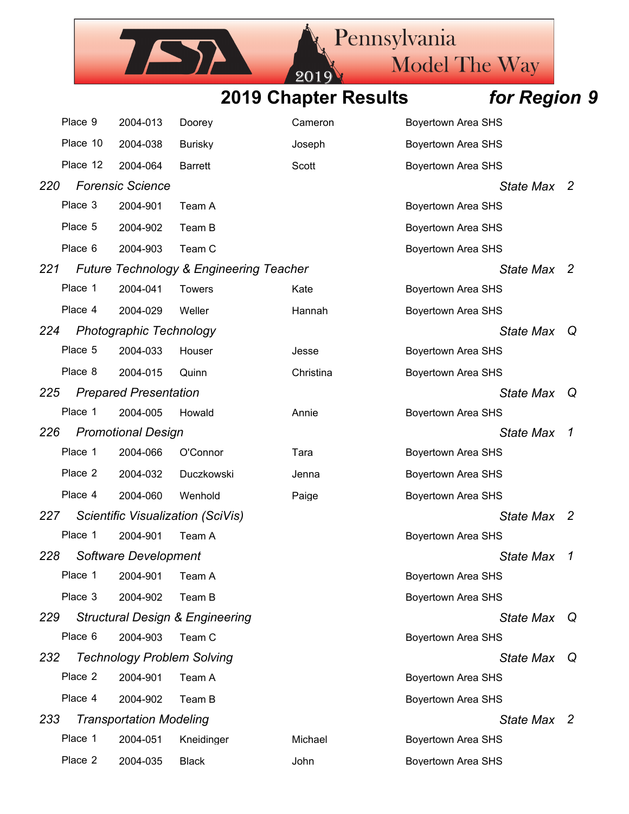201

ISA

Pennsylvania

Model The Way

|     | Place 9  | 2004-013                          | Doorey                                             | Cameron   | <b>Boyertown Area SHS</b> |                     |
|-----|----------|-----------------------------------|----------------------------------------------------|-----------|---------------------------|---------------------|
|     | Place 10 | 2004-038                          | <b>Burisky</b>                                     | Joseph    | <b>Boyertown Area SHS</b> |                     |
|     | Place 12 | 2004-064                          | <b>Barrett</b>                                     | Scott     | <b>Boyertown Area SHS</b> |                     |
| 220 |          | <b>Forensic Science</b>           |                                                    |           | State Max 2               |                     |
|     | Place 3  | 2004-901                          | Team A                                             |           | <b>Boyertown Area SHS</b> |                     |
|     | Place 5  | 2004-902                          | Team B                                             |           | <b>Boyertown Area SHS</b> |                     |
|     | Place 6  | 2004-903                          | Team C                                             |           | <b>Boyertown Area SHS</b> |                     |
| 221 |          |                                   | <b>Future Technology &amp; Engineering Teacher</b> |           | State Max                 | - 2                 |
|     | Place 1  | 2004-041                          | <b>Towers</b>                                      | Kate      | <b>Boyertown Area SHS</b> |                     |
|     | Place 4  | 2004-029                          | Weller                                             | Hannah    | <b>Boyertown Area SHS</b> |                     |
| 224 |          | <b>Photographic Technology</b>    |                                                    |           | <b>State Max</b>          | Q                   |
|     | Place 5  | 2004-033                          | Houser                                             | Jesse     | <b>Boyertown Area SHS</b> |                     |
|     | Place 8  | 2004-015                          | Quinn                                              | Christina | <b>Boyertown Area SHS</b> |                     |
| 225 |          | <b>Prepared Presentation</b>      |                                                    |           | <b>State Max</b>          | Q                   |
|     | Place 1  | 2004-005                          | Howald                                             | Annie     | <b>Boyertown Area SHS</b> |                     |
| 226 |          | <b>Promotional Design</b>         |                                                    |           | <b>State Max</b>          | $\boldsymbol{\tau}$ |
|     | Place 1  | 2004-066                          | O'Connor                                           | Tara      | <b>Boyertown Area SHS</b> |                     |
|     | Place 2  | 2004-032                          | Duczkowski                                         | Jenna     | <b>Boyertown Area SHS</b> |                     |
|     | Place 4  | 2004-060                          | Wenhold                                            | Paige     | <b>Boyertown Area SHS</b> |                     |
| 227 |          |                                   | Scientific Visualization (SciVis)                  |           | State Max                 | -2                  |
|     | Place 1  | 2004-901                          | Team A                                             |           | <b>Boyertown Area SHS</b> |                     |
| 228 |          | Software Development              |                                                    |           | <b>State Max</b>          | $\mathcal I$        |
|     | Place 1  | 2004-901                          | Team A                                             |           | <b>Boyertown Area SHS</b> |                     |
|     | Place 3  | 2004-902                          | Team B                                             |           | <b>Boyertown Area SHS</b> |                     |
| 229 |          |                                   | <b>Structural Design &amp; Engineering</b>         |           | State Max                 | Q                   |
|     | Place 6  | 2004-903                          | Team C                                             |           | <b>Boyertown Area SHS</b> |                     |
| 232 |          | <b>Technology Problem Solving</b> |                                                    |           | <b>State Max</b>          | $\mathsf Q$         |
|     | Place 2  | 2004-901                          | Team A                                             |           | <b>Boyertown Area SHS</b> |                     |
|     | Place 4  | 2004-902                          | Team B                                             |           | <b>Boyertown Area SHS</b> |                     |
| 233 |          | <b>Transportation Modeling</b>    |                                                    |           | State Max 2               |                     |
|     | Place 1  | 2004-051                          | Kneidinger                                         | Michael   | <b>Boyertown Area SHS</b> |                     |
|     | Place 2  | 2004-035                          | <b>Black</b>                                       | John      | <b>Boyertown Area SHS</b> |                     |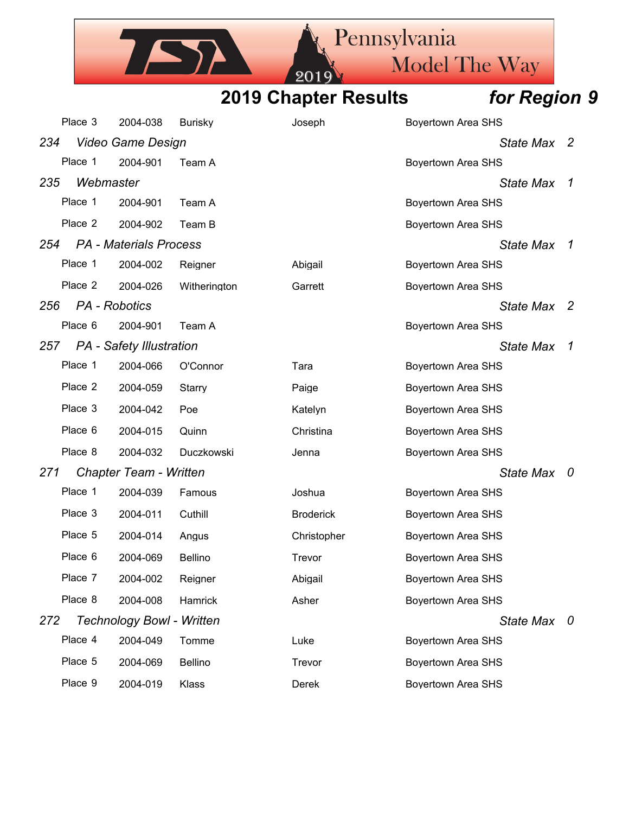Pennsylvania TATA Model The Way 2019 **2019 Chapter Results** *for Region 9*

| <b>2019 Chapter Results</b> |  |
|-----------------------------|--|
|-----------------------------|--|

|     | Place 3       | 2004-038                         |                | Joseph           |                           |                |
|-----|---------------|----------------------------------|----------------|------------------|---------------------------|----------------|
|     |               |                                  | <b>Burisky</b> |                  | <b>Boyertown Area SHS</b> |                |
| 234 |               | <b>Video Game Design</b>         |                |                  | State Max                 | $\overline{2}$ |
|     | Place 1       | 2004-901                         | Team A         |                  | <b>Boyertown Area SHS</b> |                |
| 235 | Webmaster     |                                  |                |                  | <b>State Max</b>          | 1              |
|     | Place 1       | 2004-901                         | Team A         |                  | <b>Boyertown Area SHS</b> |                |
|     | Place 2       | 2004-902                         | Team B         |                  | <b>Boyertown Area SHS</b> |                |
| 254 |               | <b>PA</b> - Materials Process    |                |                  | <b>State Max</b>          | 1              |
|     | Place 1       | 2004-002                         | Reigner        | Abigail          | <b>Boyertown Area SHS</b> |                |
|     | Place 2       | 2004-026                         | Witherington   | Garrett          | <b>Boyertown Area SHS</b> |                |
| 256 | PA - Robotics |                                  |                |                  | <b>State Max</b>          | -2             |
|     | Place 6       | 2004-901                         | Team A         |                  | <b>Boyertown Area SHS</b> |                |
| 257 |               | PA - Safety Illustration         |                |                  | <b>State Max</b>          | 1              |
|     | Place 1       | 2004-066                         | O'Connor       | Tara             | <b>Boyertown Area SHS</b> |                |
|     | Place 2       | 2004-059                         | Starry         | Paige            | <b>Boyertown Area SHS</b> |                |
|     | Place 3       | 2004-042                         | Poe            | Katelyn          | <b>Boyertown Area SHS</b> |                |
|     | Place 6       | 2004-015                         | Quinn          | Christina        | <b>Boyertown Area SHS</b> |                |
|     | Place 8       | 2004-032                         | Duczkowski     | Jenna            | <b>Boyertown Area SHS</b> |                |
| 271 |               | Chapter Team - Written           |                |                  | <b>State Max</b>          | - 0            |
|     | Place 1       | 2004-039                         | Famous         | Joshua           | <b>Boyertown Area SHS</b> |                |
|     | Place 3       | 2004-011                         | Cuthill        | <b>Broderick</b> | <b>Boyertown Area SHS</b> |                |
|     | Place 5       | 2004-014                         | Angus          | Christopher      | <b>Boyertown Area SHS</b> |                |
|     | Place 6       | 2004-069                         | <b>Bellino</b> | Trevor           | <b>Boyertown Area SHS</b> |                |
|     | Place 7       | 2004-002                         | Reigner        | Abigail          | <b>Boyertown Area SHS</b> |                |
|     | Place 8       | 2004-008                         | Hamrick        | Asher            | <b>Boyertown Area SHS</b> |                |
| 272 |               | <b>Technology Bowl - Written</b> |                |                  | State Max 0               |                |
|     | Place 4       | 2004-049                         | Tomme          | Luke             | <b>Boyertown Area SHS</b> |                |
|     | Place 5       | 2004-069                         | <b>Bellino</b> | Trevor           | <b>Boyertown Area SHS</b> |                |
|     | Place 9       | 2004-019                         | Klass          | Derek            | <b>Boyertown Area SHS</b> |                |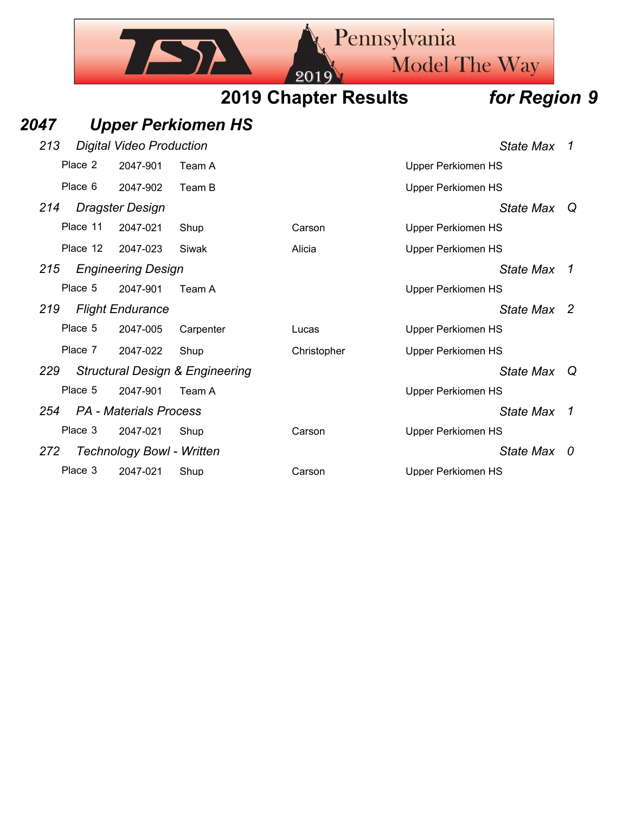## Pennsylvania Model The Way **2019 Chapter Results** *for Region 9 2047 Upper Perkiomen HS 213 Digital Video Production State Max 1* Place 2 2047-901 Team A New York Charles Control Upper Perkiomen HS Place 6 2047-902 Team B Upper Perkiomen HS *214 Dragster Design State Max Q* Place 11 2047-021 Shup Carson Carson Upper Perkiomen HS Place 12 2047-023 Siwak Alicia Number 2017 Upper Perkiomen HS *215 Engineering Design State Max 1* Place 5 2047-901 Team A Version Contract Contract Contract Contract Contract Contract Contract Contract Contract Contract Contract Contract Contract Contract Contract Contract Contract Contract Contract Contract Contract C *219 Flight Endurance State Max 2* Place 5 2047-005 Carpenter Lucas Lucas Upper Perkiomen HS Place 7 2047-022 Shup Christopher Upper Perkiomen HS *229 Structural Design & Engineering State Max Q* Place 5 2047-901 Team A Version Contract Contract Contract Contract Contract Contract Contract Contract Contract Contract Contract Contract Contract Contract Contract Contract Contract Contract Contract Contract Contract C *254 PA - Materials Process State Max 1* Place 3 2047-021 Shup Carson Carson Upper Perkiomen HS *272 Technology Bowl - Written State Max 0*

Place 3 2047-021 Shup Carson Carson Upper Perkiomen HS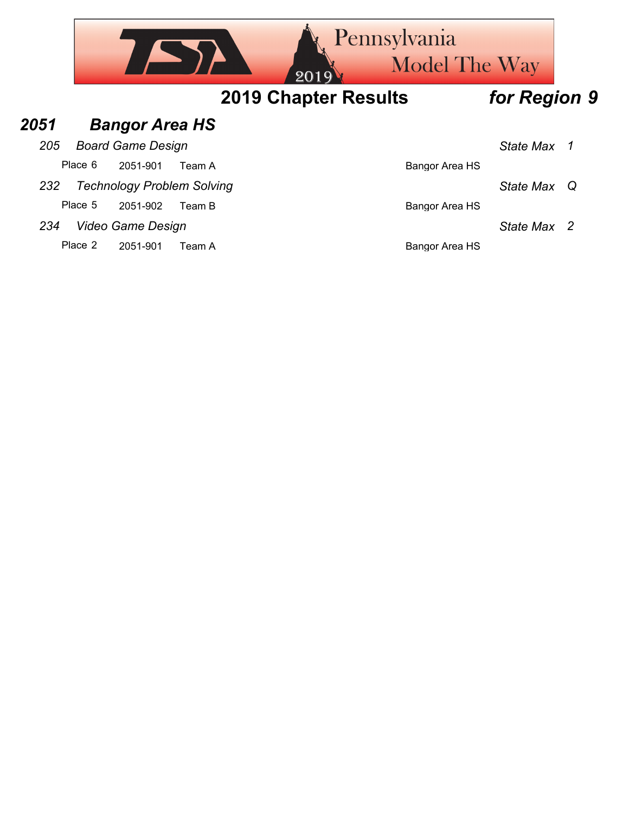|      |         |                          |                                   | 201                         | <b>Rennsylvania</b><br><b>Model The Way</b> |                  |              |
|------|---------|--------------------------|-----------------------------------|-----------------------------|---------------------------------------------|------------------|--------------|
|      |         |                          |                                   | <b>2019 Chapter Results</b> |                                             | for Region 9     |              |
| 2051 |         |                          | <b>Bangor Area HS</b>             |                             |                                             |                  |              |
| 205  |         | <b>Board Game Design</b> |                                   |                             |                                             | <b>State Max</b> | $\mathcal I$ |
|      | Place 6 | 2051-901                 | Team A                            |                             | <b>Bangor Area HS</b>                       |                  |              |
| 232  |         |                          | <b>Technology Problem Solving</b> |                             |                                             | State Max        | Q            |
|      | Place 5 | 2051-902                 | Team B                            |                             | Bangor Area HS                              |                  |              |
| 234  |         | Video Game Design        |                                   |                             |                                             | State Max        | -2           |
|      | Place 2 | 2051-901                 | Team A                            |                             | Bangor Area HS                              |                  |              |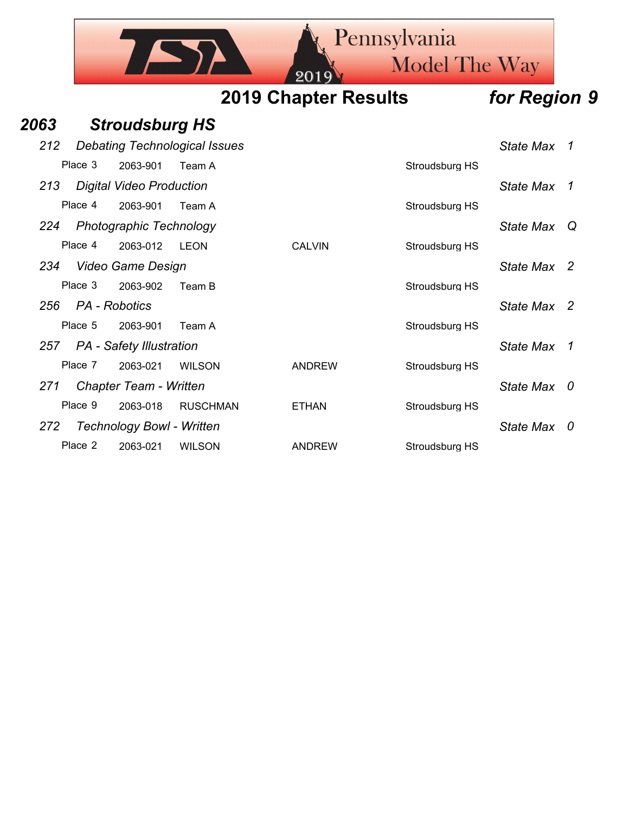|      |         | Pennsylvania<br>Model The Way<br>201 <sup>c</sup> |        |  |                             |  |                |              |  |
|------|---------|---------------------------------------------------|--------|--|-----------------------------|--|----------------|--------------|--|
|      |         |                                                   |        |  | <b>2019 Chapter Results</b> |  |                | for Region 9 |  |
| 2063 |         | <b>Stroudsburg HS</b>                             |        |  |                             |  |                |              |  |
| 212  |         | <b>Debating Technological Issues</b>              |        |  |                             |  |                | State Max 1  |  |
|      | Place 3 | 2063-901                                          | Team A |  |                             |  | Stroudsburg HS |              |  |
| 213  |         | <b>Digital Video Production</b>                   |        |  |                             |  |                | State Max 1  |  |
|      | Place 4 | 2063-901                                          | Team A |  |                             |  | Stroudsburg HS |              |  |
| 224  |         | <b>Photographic Technology</b>                    |        |  |                             |  |                | State Max Q  |  |
|      | Place 4 | 2063-012                                          | LEON   |  | <b>CALVIN</b>               |  | Stroudsburg HS |              |  |
| 234  |         | Video Game Design                                 |        |  |                             |  |                | State Max 2  |  |
|      | Place 3 | 2063-902                                          | Team B |  |                             |  | Stroudsburg HS |              |  |

- *256 PA Robotics State Max 2*
	- Place 5 2063-901 Team A Stroudsburg HS
- 257 PA Safety Illustration *All State Max* 1 Place 7 2063-021 WILSON ANDREW Stroudsburg HS
- *271 Chapter Team Written State Max 0*
- Place 9 2063-018 RUSCHMAN ETHAN Stroudsburg HS
- *272 Technology Bowl Written State Max 0*
	- Place 2 2063-021 WILSON ANDREW Stroudsburg HS
- 
- 
- 
- 
- 
- 
-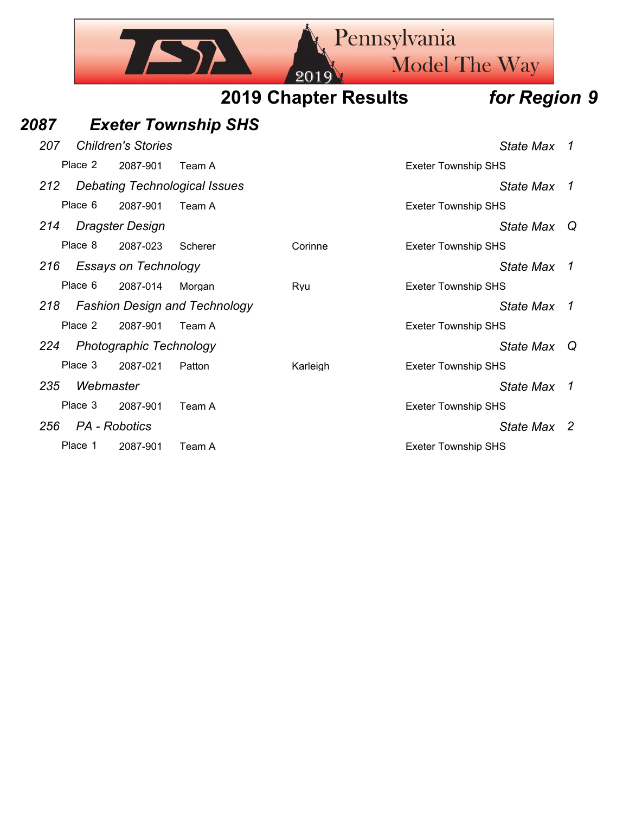|      |           |                                |                                      | 20                          | Pennsylvania               | <b>Model The Way</b> |                |
|------|-----------|--------------------------------|--------------------------------------|-----------------------------|----------------------------|----------------------|----------------|
|      |           |                                |                                      | <b>2019 Chapter Results</b> |                            | for Region 9         |                |
| 2087 |           |                                | <b>Exeter Township SHS</b>           |                             |                            |                      |                |
| 207  |           | <b>Children's Stories</b>      |                                      |                             |                            | <b>State Max</b>     | -1             |
|      | Place 2   | 2087-901                       | Team A                               |                             | <b>Exeter Township SHS</b> |                      |                |
| 212  |           |                                | <b>Debating Technological Issues</b> |                             |                            | <b>State Max</b>     | -1             |
|      | Place 6   | 2087-901                       | Team A                               |                             | <b>Exeter Township SHS</b> |                      |                |
| 214  |           | <b>Dragster Design</b>         |                                      |                             |                            | State Max            | Q              |
|      | Place 8   | 2087-023                       | Scherer                              | Corinne                     | <b>Exeter Township SHS</b> |                      |                |
| 216  |           | <b>Essays on Technology</b>    |                                      |                             |                            | <b>State Max</b>     | -1             |
|      | Place 6   | 2087-014                       | Morgan                               | Ryu                         | <b>Exeter Township SHS</b> |                      |                |
| 218  |           |                                | <b>Fashion Design and Technology</b> |                             |                            | <b>State Max</b>     | $\overline{1}$ |
|      | Place 2   | 2087-901                       | Team A                               |                             | <b>Exeter Township SHS</b> |                      |                |
| 224  |           | <b>Photographic Technology</b> |                                      |                             |                            | State Max            | Q              |
|      | Place 3   | 2087-021                       | Patton                               | Karleigh                    | <b>Exeter Township SHS</b> |                      |                |
| 235  | Webmaster |                                |                                      |                             |                            | <b>State Max</b>     | -1             |
|      | Place 3   | 2087-901                       | Team A                               |                             | <b>Exeter Township SHS</b> |                      |                |
| 256  |           | PA - Robotics                  |                                      |                             |                            | State Max 2          |                |
|      | Place 1   | 2087-901                       | Team A                               |                             | <b>Exeter Township SHS</b> |                      |                |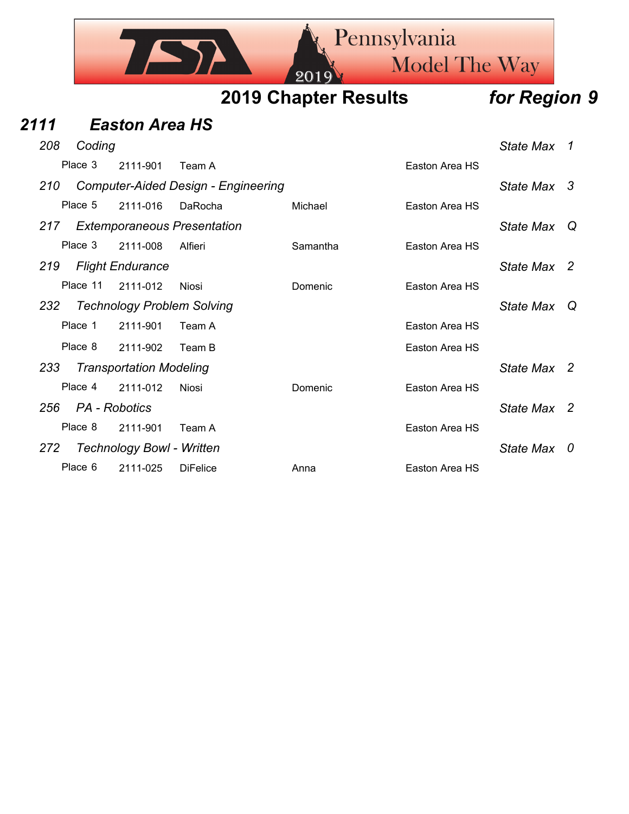

| 2111 |               | <b>Easton Area HS</b>            |                                            |          |                |             |  |
|------|---------------|----------------------------------|--------------------------------------------|----------|----------------|-------------|--|
| 208  | Coding        |                                  |                                            |          |                | State Max 1 |  |
|      | Place 3       | 2111-901                         | Team A                                     |          | Easton Area HS |             |  |
| 210  |               |                                  | <b>Computer-Aided Design - Engineering</b> |          |                | State Max 3 |  |
|      | Place 5       | 2111-016                         | DaRocha                                    | Michael  | Easton Area HS |             |  |
| 217  |               |                                  | <b>Extemporaneous Presentation</b>         |          |                | State Max Q |  |
|      | Place 3       | 2111-008                         | Alfieri                                    | Samantha | Easton Area HS |             |  |
| 219  |               | <b>Flight Endurance</b>          |                                            |          |                | State Max 2 |  |
|      | Place 11      | 2111-012                         | Niosi                                      | Domenic  | Easton Area HS |             |  |
| 232  |               |                                  | <b>Technology Problem Solving</b>          |          |                | State Max Q |  |
|      | Place 1       | 2111-901                         | Team A                                     |          | Easton Area HS |             |  |
|      | Place 8       | 2111-902                         | Team B                                     |          | Easton Area HS |             |  |
| 233  |               | <b>Transportation Modeling</b>   |                                            |          |                | State Max 2 |  |
|      | Place 4       | 2111-012                         | Niosi                                      | Domenic  | Easton Area HS |             |  |
| 256  | PA - Robotics |                                  |                                            |          |                | State Max 2 |  |
|      | Place 8       | 2111-901                         | Team A                                     |          | Easton Area HS |             |  |
| 272  |               | <b>Technology Bowl - Written</b> |                                            |          |                | State Max 0 |  |
|      | Place 6       | 2111-025                         | <b>DiFelice</b>                            | Anna     | Easton Area HS |             |  |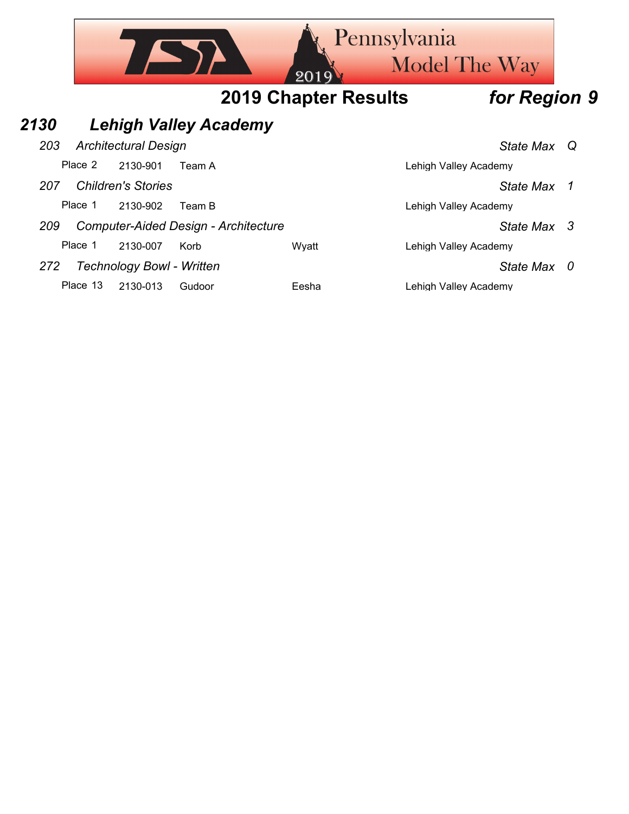|      |          |                                  |                                             | Pennsylvania<br>201         | <b>Model The Way</b>  |   |
|------|----------|----------------------------------|---------------------------------------------|-----------------------------|-----------------------|---|
|      |          |                                  |                                             | <b>2019 Chapter Results</b> | for Region 9          |   |
| 2130 |          |                                  | <b>Lehigh Valley Academy</b>                |                             |                       |   |
| 203  |          | <b>Architectural Design</b>      |                                             |                             | State Max Q           |   |
|      | Place 2  | 2130-901                         | Team A                                      |                             | Lehigh Valley Academy |   |
| 207  |          | <b>Children's Stories</b>        |                                             |                             | <b>State Max</b>      | 1 |
|      | Place 1  | 2130-902                         | Team B                                      |                             | Lehigh Valley Academy |   |
| 209  |          |                                  | <b>Computer-Aided Design - Architecture</b> |                             | State Max 3           |   |
|      | Place 1  | 2130-007                         | Korb                                        | Wyatt                       | Lehigh Valley Academy |   |
| 272  |          | <b>Technology Bowl - Written</b> |                                             |                             | State Max             | 0 |
|      | Place 13 | 2130-013                         | Gudoor                                      | Eesha                       | Lehigh Valley Academy |   |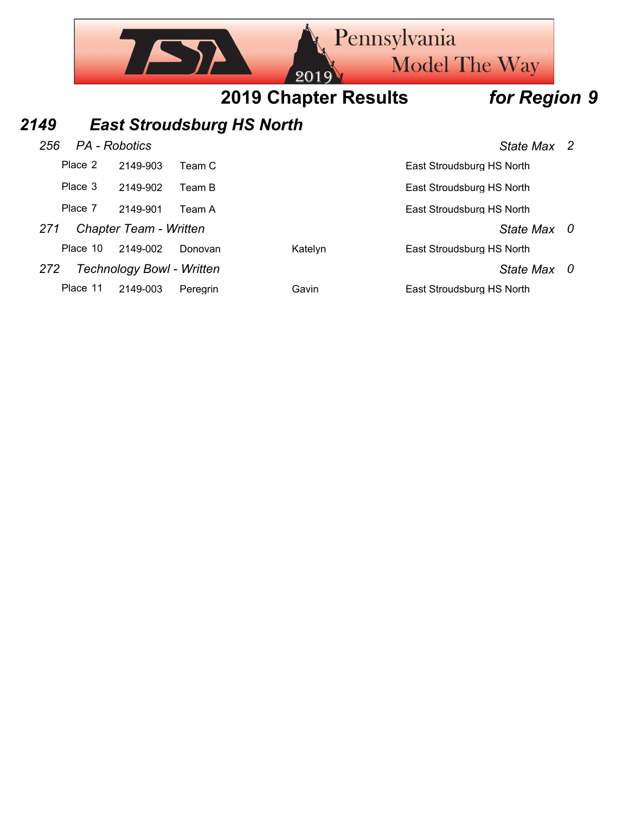

## *2149 East Stroudsburg HS North*

## *256 PA - Robotics State Max 2* Place 2 2149-903 Team C East Stroudsburg HS North Place 3 2149-902 Team B East Stroudsburg HS North

Place 7 2149-901 Team A East Stroudsburg HS North

## *271 Chapter Team - Written State Max 0*

Place 10 2149-002 Donovan Katelyn East Stroudsburg HS North

*272 Technology Bowl - Written State Max 0*

Place 11 2149-003 Peregrin Gavin Gavin East Stroudsburg HS North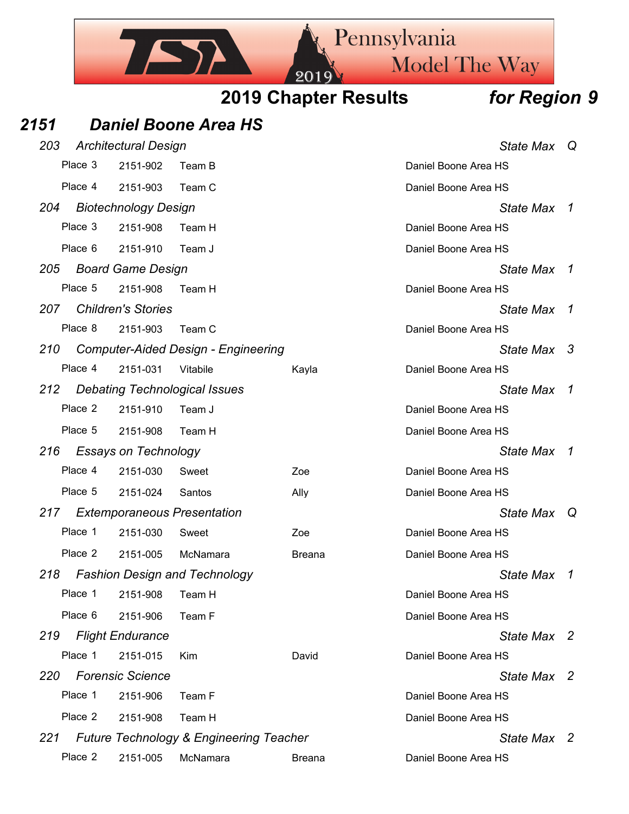

|            | Place 3 | 2151-902                    | Team B                                     |               | Daniel Boone Area HS |                |
|------------|---------|-----------------------------|--------------------------------------------|---------------|----------------------|----------------|
|            | Place 4 | 2151-903                    | Team C                                     |               | Daniel Boone Area HS |                |
| 204        |         | <b>Biotechnology Design</b> |                                            |               | State Max 1          |                |
|            | Place 3 | 2151-908                    | Team H                                     |               | Daniel Boone Area HS |                |
|            | Place 6 | 2151-910                    | Team J                                     |               | Daniel Boone Area HS |                |
| 205        |         | <b>Board Game Design</b>    |                                            |               | <b>State Max</b>     | $\overline{1}$ |
|            | Place 5 | 2151-908                    | Team H                                     |               | Daniel Boone Area HS |                |
| 207        |         | <b>Children's Stories</b>   |                                            |               | State Max            | 1              |
|            | Place 8 | 2151-903                    | Team C                                     |               | Daniel Boone Area HS |                |
| 210        |         |                             | <b>Computer-Aided Design - Engineering</b> |               | State Max 3          |                |
|            | Place 4 | 2151-031                    | Vitabile                                   | Kayla         | Daniel Boone Area HS |                |
| 212        |         |                             | <b>Debating Technological Issues</b>       |               | <b>State Max</b>     | 1              |
|            | Place 2 | 2151-910                    | Team J                                     |               | Daniel Boone Area HS |                |
|            | Place 5 | 2151-908                    | Team H                                     |               | Daniel Boone Area HS |                |
| 216        |         | <b>Essays on Technology</b> |                                            |               | <b>State Max</b>     | 1              |
|            | Place 4 | 2151-030                    | Sweet                                      | Zoe           | Daniel Boone Area HS |                |
|            | Place 5 | 2151-024                    | Santos                                     | Ally          | Daniel Boone Area HS |                |
| 217        |         |                             | <b>Extemporaneous Presentation</b>         |               | State Max            | Q              |
|            | Place 1 | 2151-030                    | Sweet                                      | Zoe           | Daniel Boone Area HS |                |
|            | Place 2 | 2151-005                    | McNamara                                   | <b>Breana</b> | Daniel Boone Area HS |                |
| 218        |         |                             | <b>Fashion Design and Technology</b>       |               | <b>State Max</b>     | 1              |
|            | Place 1 | 2151-908                    | Team H                                     |               | Daniel Boone Area HS |                |
|            |         | Place 6 2151-906 Team F     |                                            |               | Daniel Boone Area HS |                |
| 219        |         | <b>Flight Endurance</b>     |                                            |               | State Max 2          |                |
|            | Place 1 | 2151-015                    | Kim                                        | David         | Daniel Boone Area HS |                |
| <b>220</b> |         | <b>Forensic Science</b>     |                                            |               | State Max 2          |                |
|            | Place 1 | 2151-906                    | Team F                                     |               | Daniel Boone Area HS |                |
|            | Place 2 | 2151-908                    | Team H                                     |               | Daniel Boone Area HS |                |
| 221        |         |                             | Future Technology & Engineering Teacher    |               | State Max 2          |                |
|            | Place 2 |                             | 2151-005 McNamara                          | <b>Breana</b> | Daniel Boone Area HS |                |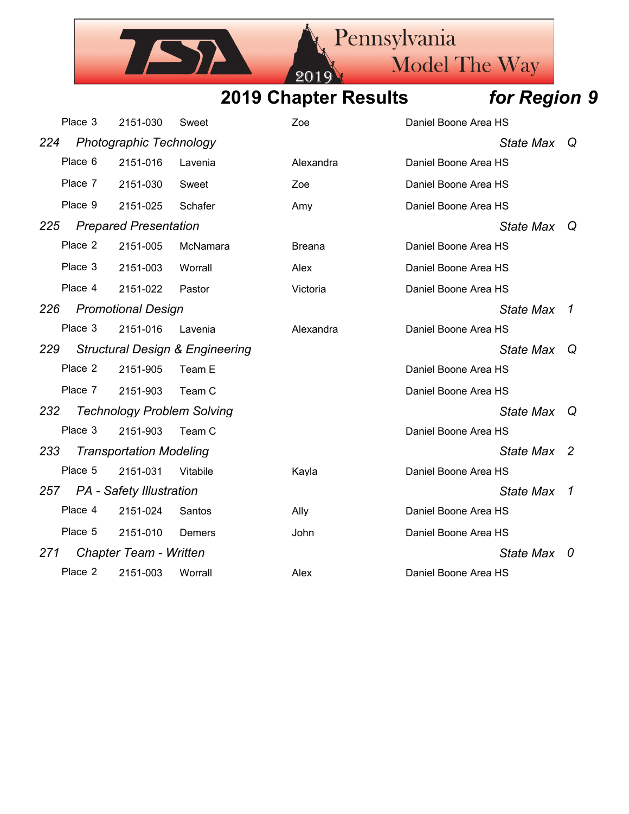201

ISA

Pennsylvania

Model The Way

|     | Place 3 | 2151-030                          | Sweet                                      | Zoe       | Daniel Boone Area HS |                  |              |
|-----|---------|-----------------------------------|--------------------------------------------|-----------|----------------------|------------------|--------------|
| 224 |         | <b>Photographic Technology</b>    |                                            |           |                      | State Max        | $\omega$     |
|     | Place 6 | 2151-016                          | Lavenia                                    | Alexandra | Daniel Boone Area HS |                  |              |
|     | Place 7 | 2151-030                          | Sweet                                      | Zoe       | Daniel Boone Area HS |                  |              |
|     | Place 9 | 2151-025                          | Schafer                                    | Amy       | Daniel Boone Area HS |                  |              |
| 225 |         | <b>Prepared Presentation</b>      |                                            |           |                      | State Max Q      |              |
|     | Place 2 | 2151-005                          | McNamara                                   | Breana    | Daniel Boone Area HS |                  |              |
|     | Place 3 | 2151-003                          | Worrall                                    | Alex      | Daniel Boone Area HS |                  |              |
|     | Place 4 | 2151-022                          | Pastor                                     | Victoria  | Daniel Boone Area HS |                  |              |
| 226 |         | <b>Promotional Design</b>         |                                            |           |                      | <b>State Max</b> | -1           |
|     | Place 3 | 2151-016                          | Lavenia                                    | Alexandra | Daniel Boone Area HS |                  |              |
| 229 |         |                                   | <b>Structural Design &amp; Engineering</b> |           |                      | State Max        | $\omega$     |
|     | Place 2 | 2151-905                          | Team E                                     |           | Daniel Boone Area HS |                  |              |
|     | Place 7 | 2151-903                          | Team C                                     |           | Daniel Boone Area HS |                  |              |
| 232 |         | <b>Technology Problem Solving</b> |                                            |           |                      | State Max        | $\Omega$     |
|     | Place 3 | 2151-903                          | Team C                                     |           | Daniel Boone Area HS |                  |              |
| 233 |         | <b>Transportation Modeling</b>    |                                            |           |                      | State Max        | - 2          |
|     | Place 5 | 2151-031                          | Vitabile                                   | Kayla     | Daniel Boone Area HS |                  |              |
| 257 |         | <b>PA</b> - Safety Illustration   |                                            |           |                      | <b>State Max</b> | $\mathcal I$ |
|     | Place 4 | 2151-024                          | Santos                                     | Ally      | Daniel Boone Area HS |                  |              |
|     | Place 5 | 2151-010                          | Demers                                     | John      | Daniel Boone Area HS |                  |              |
| 271 |         | Chapter Team - Written            |                                            |           |                      | State Max 0      |              |
|     | Place 2 | 2151-003                          | Worrall                                    | Alex      | Daniel Boone Area HS |                  |              |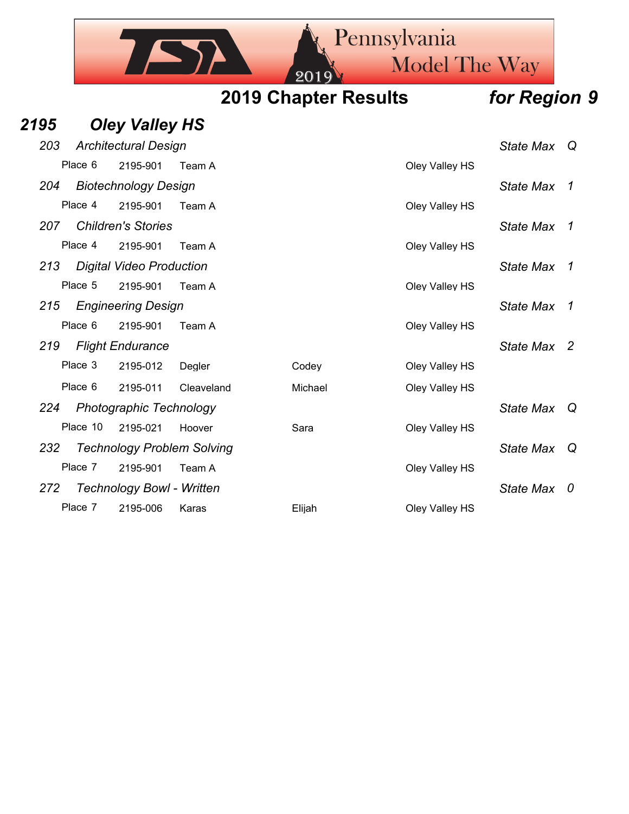Pennsylvania **Model The Way 2019 Chapter Results** *for Region 9 2195 Oley Valley HS 203 Architectural Design State Max Q* Place 6 2195-901 Team A Clev Valley HS *204 Biotechnology Design State Max 1* Place 4 2195-901 Team A Clev Valley HS *207 Children's Stories State Max 1* Place 4 2195-901 Team A Clev Valley HS *213 Digital Video Production State Max 1* Place 5 2195-901 Team A Clev Valley HS *215 Engineering Design State Max 1* Place 6 2195-901 Team A Clay Coley Valley HS *219 Flight Endurance State Max 2*

Place 3 2195-012 Degler Codey Codey Oley Valley HS Place 6 2195-011 Cleaveland Michael Michael Oley Valley HS *224 Photographic Technology State Max Q*

Place 10 2195-021 Hoover Sara Sara Oley Valley HS *232 Technology Problem Solving State Max Q* Place 7 2195-901 Team A Clev Valley HS *272 Technology Bowl - Written State Max 0*

Place 7 2195-006 Karas **Elijah** Dley Valley HS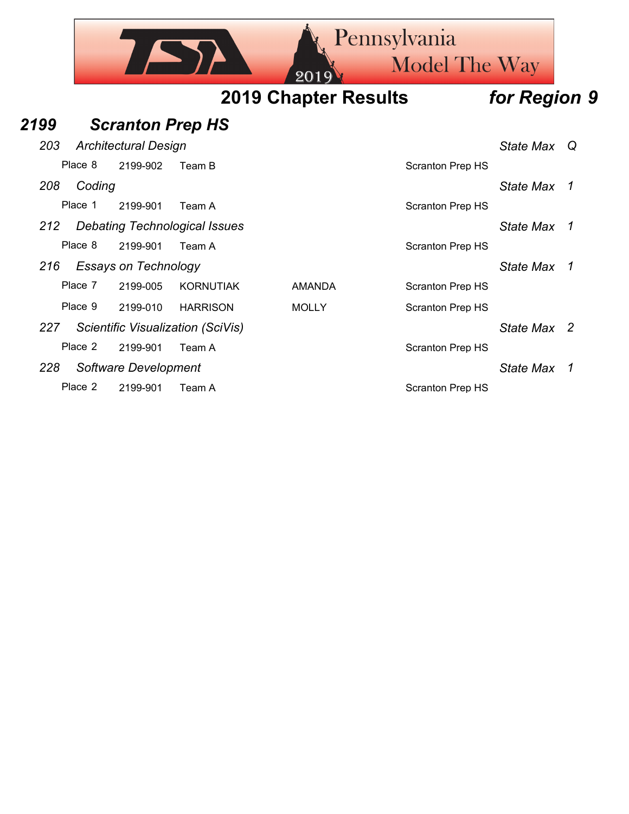|      |         |                             |                                      |                                   | Pennsylvania<br><b>Model The Way</b> |                  |          |
|------|---------|-----------------------------|--------------------------------------|-----------------------------------|--------------------------------------|------------------|----------|
|      |         |                             |                                      | 20<br><b>2019 Chapter Results</b> |                                      | for Region 9     |          |
| 2199 |         | <b>Scranton Prep HS</b>     |                                      |                                   |                                      |                  |          |
| 203  |         | <b>Architectural Design</b> |                                      |                                   |                                      | <b>State Max</b> | $\omega$ |
|      | Place 8 | 2199-902                    | Team B                               |                                   | <b>Scranton Prep HS</b>              |                  |          |
| 208  | Coding  |                             |                                      |                                   |                                      | State Max        | 1        |
|      | Place 1 | 2199-901                    | Team A                               |                                   | <b>Scranton Prep HS</b>              |                  |          |
| 212  |         |                             | <b>Debating Technological Issues</b> |                                   |                                      | State Max        | 1        |
|      | Place 8 | 2199-901                    | Team A                               |                                   | <b>Scranton Prep HS</b>              |                  |          |
| 216  |         | <b>Essays on Technology</b> |                                      |                                   |                                      | State Max        | 1        |
|      | Place 7 | 2199-005                    | KORNUTIAK                            | <b>AMANDA</b>                     | <b>Scranton Prep HS</b>              |                  |          |
|      | Place 9 | 2199-010                    | <b>HARRISON</b>                      | <b>MOLLY</b>                      | <b>Scranton Prep HS</b>              |                  |          |
| 227  |         |                             | Scientific Visualization (SciVis)    |                                   |                                      | State Max 2      |          |
|      | Place 2 | 2199-901                    | Team A                               |                                   | <b>Scranton Prep HS</b>              |                  |          |
| 228  |         | Software Development        |                                      |                                   |                                      | <b>State Max</b> | 1        |
|      | Place 2 | 2199-901                    | Team A                               |                                   | <b>Scranton Prep HS</b>              |                  |          |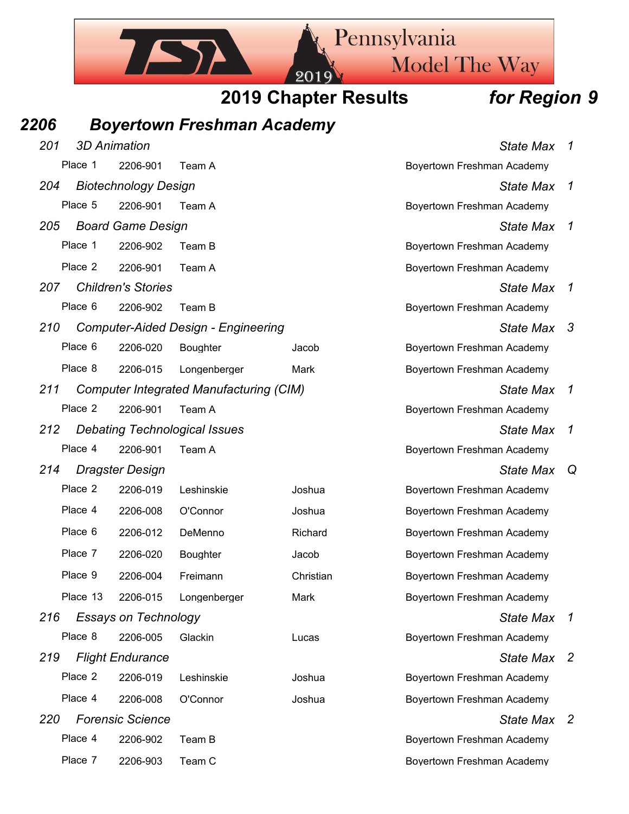

Place 7 2206-903 Team C Boyertown Freshman Academy